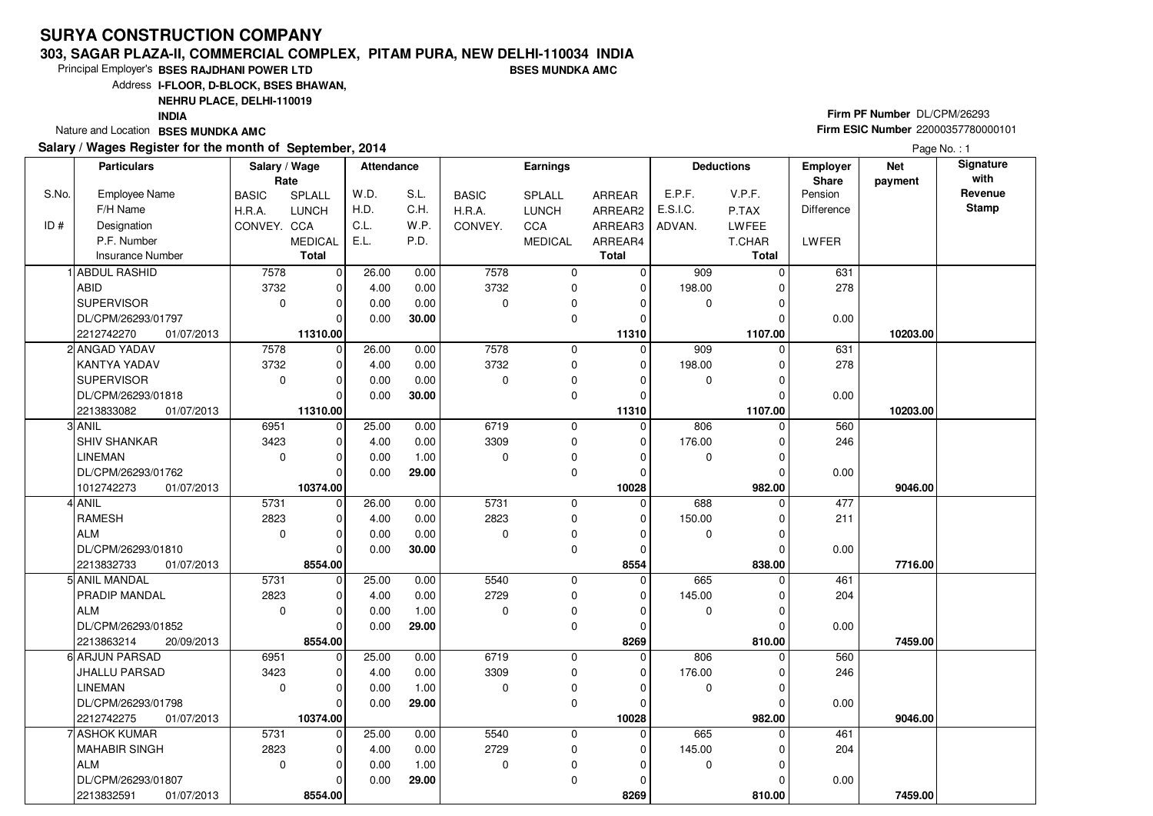#### **303, SAGAR PLAZA-II, COMMERCIAL COMPLEX, PITAM PURA, NEW DELHI-110034 INDIABSES MUNDKA AMC**

Principal Employer's**BSES RAJDHANI POWER LTD**

Address**I-FLOOR, D-BLOCK, BSES BHAWAN,**

**NEHRU PLACE, DELHI-110019**

**INDIA**

Nature and Location **BSES MUNDKA AMC** 

#### **Salary / Wages Register for the month of September, 2014**

# **Firm PF Number** DL/CPM/26293 **Firm ESIC Number** <sup>22000357780000101</sup>

|       | <b>Particulars</b>       | Salary / Wage<br>Rate |                | <b>Attendance</b> |       |              | <b>Earnings</b> |              |                  | <b>Deductions</b> | Employer<br>Share | <b>Net</b><br>payment | Signature<br>with |
|-------|--------------------------|-----------------------|----------------|-------------------|-------|--------------|-----------------|--------------|------------------|-------------------|-------------------|-----------------------|-------------------|
| S.No. | <b>Employee Name</b>     | <b>BASIC</b>          | SPLALL         | W.D.              | S.L.  | <b>BASIC</b> | <b>SPLALL</b>   | ARREAR       | E.P.F.           | V.P.F.            | Pension           |                       | Revenue           |
|       | F/H Name                 | H.R.A.                | <b>LUNCH</b>   | H.D.              | C.H.  | H.R.A.       | <b>LUNCH</b>    | ARREAR2      | E.S.I.C.         | P.TAX             | Difference        |                       | Stamp             |
| ID#   | Designation              | CONVEY. CCA           |                | C.L.              | W.P.  | CONVEY.      | CCA             | ARREAR3      | ADVAN.           | LWFEE             |                   |                       |                   |
|       | P.F. Number              |                       | <b>MEDICAL</b> | E.L.              | P.D.  |              | <b>MEDICAL</b>  | ARREAR4      |                  | T.CHAR            | LWFER             |                       |                   |
|       | <b>Insurance Number</b>  |                       | <b>Total</b>   |                   |       |              |                 | <b>Total</b> |                  | <b>Total</b>      |                   |                       |                   |
|       | <b>ABDUL RASHID</b>      | 7578                  | $\mathbf 0$    | 26.00             | 0.00  | 7578         | $\mathbf 0$     | $\mathbf 0$  | $\overline{909}$ | $\Omega$          | 631               |                       |                   |
|       | ABID                     | 3732                  | 0              | 4.00              | 0.00  | 3732         | 0               | $\mathbf 0$  | 198.00           |                   | 278               |                       |                   |
|       | <b>SUPERVISOR</b>        | $\mathbf{0}$          | $\mathbf 0$    | 0.00              | 0.00  | $\mathbf 0$  | 0               | 0            | $\mathbf 0$      | $\Omega$          |                   |                       |                   |
|       | DL/CPM/26293/01797       |                       | $\Omega$       | 0.00              | 30.00 |              | 0               | $\Omega$     |                  |                   | 0.00              |                       |                   |
|       | 01/07/2013<br>2212742270 |                       | 11310.00       |                   |       |              |                 | 11310        |                  | 1107.00           |                   | 10203.00              |                   |
|       | 2 ANGAD YADAV            | 7578                  | $\mathbf 0$    | 26.00             | 0.00  | 7578         | $\mathbf 0$     | $\Omega$     | 909              | $\Omega$          | 631               |                       |                   |
|       | KANTYA YADAV             | 3732                  | 0              | 4.00              | 0.00  | 3732         | 0               | 0            | 198.00           |                   | 278               |                       |                   |
|       | <b>SUPERVISOR</b>        | 0                     | $\mathbf 0$    | 0.00              | 0.00  | 0            | 0               | 0            | 0                | $\Omega$          |                   |                       |                   |
|       | DL/CPM/26293/01818       |                       | $\Omega$       | 0.00              | 30.00 |              | $\mathbf 0$     | $\Omega$     |                  | 0                 | 0.00              |                       |                   |
|       | 2213833082<br>01/07/2013 |                       | 11310.00       |                   |       |              |                 | 11310        |                  | 1107.00           |                   | 10203.00              |                   |
|       | 3 ANIL                   | 6951                  | $\mathbf 0$    | 25.00             | 0.00  | 6719         | $\mathbf 0$     | $\Omega$     | 806              | $\Omega$          | 560               |                       |                   |
|       | SHIV SHANKAR             | 3423                  | 0              | 4.00              | 0.00  | 3309         | 0               | 0            | 176.00           | 0                 | 246               |                       |                   |
|       | <b>LINEMAN</b>           | $\mathbf 0$           | $\mathbf 0$    | 0.00              | 1.00  | 0            | $\pmb{0}$       | 0            | 0                | 0                 |                   |                       |                   |
|       | DL/CPM/26293/01762       |                       | $\Omega$       | 0.00              | 29.00 |              | $\mathbf 0$     | $\Omega$     |                  | 0                 | 0.00              |                       |                   |
|       | 1012742273<br>01/07/2013 |                       | 10374.00       |                   |       |              |                 | 10028        |                  | 982.00            |                   | 9046.00               |                   |
|       | ANIL                     | $\overline{5731}$     | $\mathbf 0$    | 26.00             | 0.00  | 5731         | 0               | $\Omega$     | 688              | $\Omega$          | 477               |                       |                   |
|       | <b>RAMESH</b>            | 2823                  | 0              | 4.00              | 0.00  | 2823         | $\mathbf 0$     | 0            | 150.00           | 0                 | 211               |                       |                   |
|       | <b>ALM</b>               | $\mathbf 0$           | $\mathbf 0$    | 0.00              | 0.00  | 0            | 0               | 0            | 0                | 0                 |                   |                       |                   |
|       | DL/CPM/26293/01810       |                       | $\Omega$       | 0.00              | 30.00 |              | $\mathbf 0$     | $\Omega$     |                  | 0                 | 0.00              |                       |                   |
|       | 2213832733<br>01/07/2013 |                       | 8554.00        |                   |       |              |                 | 8554         |                  | 838.00            |                   | 7716.00               |                   |
|       | 5 ANIL MANDAL            | 5731                  | $\mathbf 0$    | 25.00             | 0.00  | 5540         | 0               | $\Omega$     | 665              | $\Omega$          | 461               |                       |                   |
|       | PRADIP MANDAL            | 2823                  | 0              | 4.00              | 0.00  | 2729         | 0               | 0            | 145.00           | 0                 | 204               |                       |                   |
|       | <b>ALM</b>               | $\mathbf 0$           | 0              | 0.00              | 1.00  | 0            | 0               | 0            | 0                | 0                 |                   |                       |                   |
|       | DL/CPM/26293/01852       |                       | $\Omega$       | 0.00              | 29.00 |              | $\mathbf 0$     | $\mathbf 0$  |                  | $\Omega$          | 0.00              |                       |                   |
|       | 2213863214<br>20/09/2013 |                       | 8554.00        |                   |       |              |                 | 8269         |                  | 810.00            |                   | 7459.00               |                   |
|       | 6 ARJUN PARSAD           | 6951                  | $\mathbf 0$    | 25.00             | 0.00  | 6719         | 0               | $\Omega$     | 806              | $\Omega$          | 560               |                       |                   |
|       | JHALLU PARSAD            | 3423                  | 0              | 4.00              | 0.00  | 3309         | $\mathbf 0$     | 0            | 176.00           |                   | 246               |                       |                   |
|       | LINEMAN                  | $\mathbf 0$           | $\Omega$       | 0.00              | 1.00  | $\Omega$     | 0               | 0            | 0                | 0                 |                   |                       |                   |
|       | DL/CPM/26293/01798       |                       | $\Omega$       | 0.00              | 29.00 |              | $\mathbf 0$     | $\mathbf 0$  |                  | $\Omega$          | 0.00              |                       |                   |
|       | 2212742275<br>01/07/2013 |                       | 10374.00       |                   |       |              |                 | 10028        |                  | 982.00            |                   | 9046.00               |                   |
|       | 7 ASHOK KUMAR            | 5731                  | $\mathbf 0$    | 25.00             | 0.00  | 5540         | 0               | $\mathbf 0$  | 665              | $\Omega$          | 461               |                       |                   |
|       | <b>MAHABIR SINGH</b>     | 2823                  | $\mathbf 0$    | 4.00              | 0.00  | 2729         | 0               | $\mathbf 0$  | 145.00           | 0                 | 204               |                       |                   |
|       | <b>ALM</b>               | $\mathbf 0$           | $\Omega$       | 0.00              | 1.00  | 0            | 0               | 0            | 0                | ŋ                 |                   |                       |                   |
|       | DL/CPM/26293/01807       |                       | $\Omega$       | 0.00              | 29.00 |              | $\mathbf 0$     | 0            |                  |                   | 0.00              |                       |                   |
|       | 2213832591<br>01/07/2013 |                       | 8554.00        |                   |       |              |                 | 8269         |                  | 810.00            |                   | 7459.00               |                   |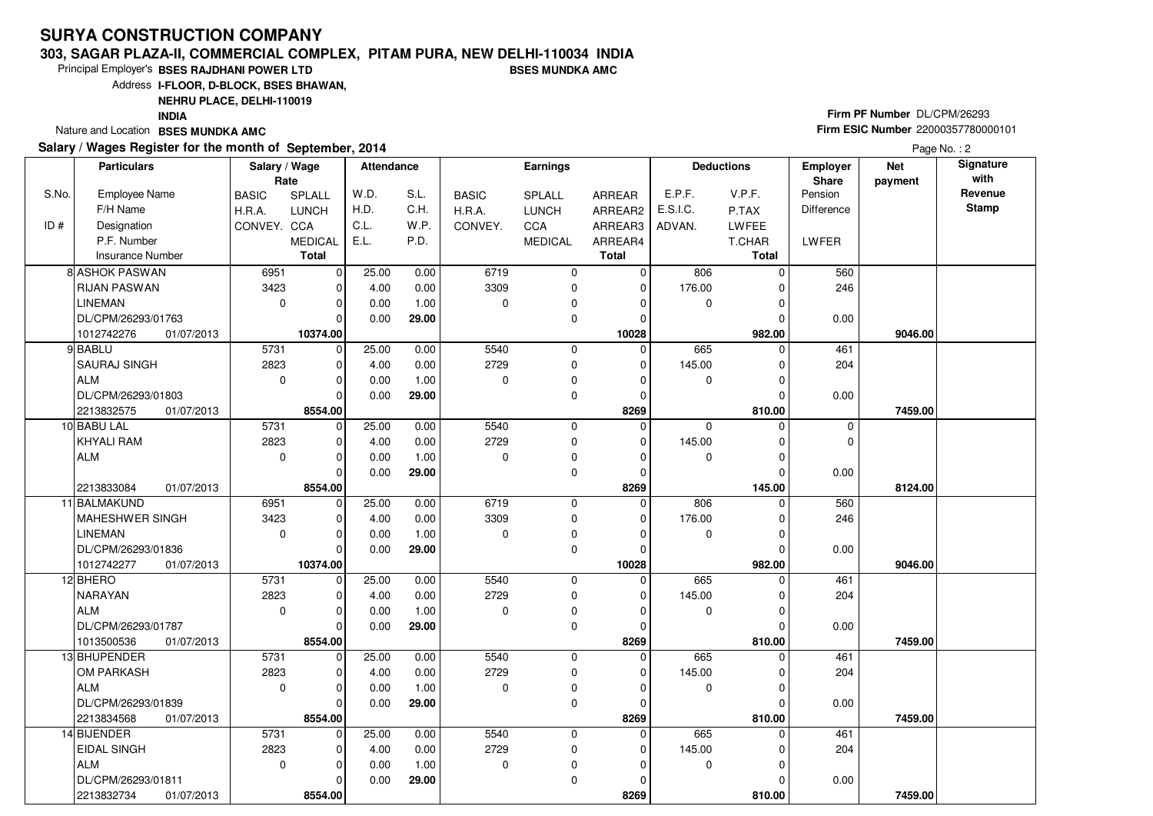#### **303, SAGAR PLAZA-II, COMMERCIAL COMPLEX, PITAM PURA, NEW DELHI-110034 INDIABSES MUNDKA AMC**

 $\overline{\phantom{0}}$ 8554.00 0.00

**29.00**

Principal Employer's**BSES RAJDHANI POWER LTD**

Address**I-FLOOR, D-BLOCK, BSES BHAWAN,**

**NEHRU PLACE, DELHI-110019**

**INDIA**

Nature and Location **BSES MUNDKA AMC** 

DL/CPM/26293/01811

2213832734 **8554.00**

01/07/2013

S.No.

 $ID#$ 

#### **Salary / Wages Register for the month of September, 2014**

# **Firm PF Number** DL/CPM/26293 **Firm ESIC Number** <sup>22000357780000101</sup>

 **810.00 7459.00**

 **Attendance EarningsBASIC**  H.R.A.CONVEY. CCA SPLALL LUNCH MEDICALARREAR ARREAR2 ARREAR3 ARREAR4**Total**Employee NameF/H Name Designation P.F. NumberInsurance Number**Salary / Wage RateBASIC**  H.R.A.**CONVEY** SPLALL LUNCHC<sub>C</sub>A MEDICAL**Total**ADVAN.P.TAX LWFEE T.CHAR **Total**E.P.F. V.P.F. E.S.I.C.Pension DifferenceLWFER**Deductions Employer Share**W.D.H.D.C.L.E.L.S.L.C.H.W<sub>P</sub> P.D.**Net paymentSignature with Revenue StampParticulars**Page No.: 2 6951 3423 $\overline{0}$  $\overline{0}$  $\overline{0}$  $\overline{0}$  $\overline{0}$ 10374.00  $\overline{0}$  $\overline{0}$  $\overline{0}$  $\overline{0}$   **10028** $\overline{0}$  6719 3309 $\overline{0}$  $\overline{0}$  $\overline{0}$  $\overline{0}$  $\overline{0}$  806 0 $\overline{0}$  176.00 $\overline{0}$  $\overline{0}$  $\overline{0}$ 982.00  **982.00 9046.00** 560 246 0.008 ASHOK PASWAN RIJAN PASWANLINEMAN DL/CPM/26293/01763 **10374.00** 01/07/2013101274227625.00 4.00 0.00 0.00 0.00 0.00 1.00 **29.00** 5731 2823 $\overline{0}$  $\Omega$  $\overline{0}$  $\overline{0}$  $\overline{0}$ 8554.00  $\overline{0}$  $\overline{0}$  $\overline{0}$   **8269** $\overline{0}$  5540 2729 $\overline{0}$  $\overline{0}$  $\overline{0}$  $\overline{0}$  $\overline{0}$  665 0 $\overline{0}$  145.00 $\overline{0}$  $\overline{0}$  $\overline{0}$ 810.00  **810.00 7459.00** 461 204 0.009 BABLU SAURAJ SINGHALM DL/CPM/26293/01803 2213832575 **8554.00**01/07/2013 $\overline{0}$ 25.00 4.00 0.00 0.00 0.00 0.00 1.00 **29.00** 5731 2823 $\overline{0}$  $\overline{0}$  $\overline{0}$  $\overline{\phantom{0}}$ 8554.00  $\overline{0}$  $\overline{0}$  $\overline{0}$   **8269** $\overline{0}$  5540 2729 $\overline{0}$  $\overline{0}$  $\overline{0}$  $\overline{0}$  $\overline{0}$  0 0 $\overline{0}$  145.00 $\overline{0}$  $\overline{0}$  $\overline{0}$ 145.00  **145.00 8124.00** $\overline{0}$  $\overline{0}$  0.0010 BABU LAL KHYALI RAMALM2213833084 **8554.00** $\overline{0}$ 25.00 4.00 0.00 0.00 0.00 0.00 1.00 **29.00**01/07/2013 6951 3423 $\overline{\phantom{0}}$  $\overline{0}$  $\overline{\phantom{0}}$  $\overline{\phantom{0}}$ 10374.00  $\overline{0}$  $\overline{0}$  $\overline{0}$   **10028** $\overline{0}$  6719 3309 $\overline{0}$  $\overline{0}$  $\overline{0}$  $\overline{0}$  $\overline{0}$  806 0 $\overline{0}$  176.00 $\overline{0}$  $\overline{0}$  $\overline{0}$ 982.00  **982.00 9046.00** 560 246 0.0011 BALMAKUND MAHESHWER SINGHLINEMAN DL/CPM/26293/01836 **10374.00** 01/07/2013101274227725.00 4.00 0.00 0.00 0.00 0.00 1.00 **29.00** 5731 2823 $\overline{0}$  $\Omega$  $\Omega$  $\Omega$  $\Omega$ 8554.00  $\overline{0}$  $\overline{0}$  $\overline{0}$   **8269** $\overline{0}$  5540 2729 $\overline{0}$  0 $\overline{0}$  $\overline{0}$  $\overline{0}$  665 0 $\overline{0}$  145.00 $\overline{0}$  $\overline{0}$  $\overline{0}$ 810.00  **810.00 7459.00** 461 204 0.00<sup>12</sup> BHERO NARAYANALM DL/CPM/26293/01787 01/07/20131013500536 **8554.00**25.00 4.00 0.00 0.00 0.00 0.00 1.00 **29.00** 5731 2823 $\overline{0}$  $\overline{\phantom{0}}$  $\Omega$  $\Omega$  $\Omega$ 8554.00  $\overline{0}$  $\overline{0}$  $\overline{0}$   **8269** $\overline{0}$  5540 2729 $\overline{0}$  0 $\overline{0}$  $\overline{0}$  $\overline{0}$  665 0 $\overline{0}$  145.00 $\overline{0}$  $\overline{0}$  $\overline{0}$ 810.00  **810.00 7459.00** 461 204 0.0013 BHUPENDER OM PARKASHALM DL/CPM/26293/01839 01/07/20132213834568 **8554.00**25.00 4.00 0.00 0.00 0.00 0.00 1.00 **29.00** 5731 2823 $\overline{0}$  $\overline{0}$  $\overline{0}$  $\Omega$  $\overline{0}$  $\overline{0}$  5540 2729 $\overline{0}$  $\overline{0}$  $\overline{0}$  $\overline{0}$ 665 0  $\overline{0}$  145.00 $\Omega$  $\overline{0}$  461 20414 BIJENDER EIDAL SINGHALM25.00 4.00 0.00 $0.00$  0.001.00

> $\overline{0}$  **8269**

 $\overline{0}$ 810.00 0.00

 $\overline{0}$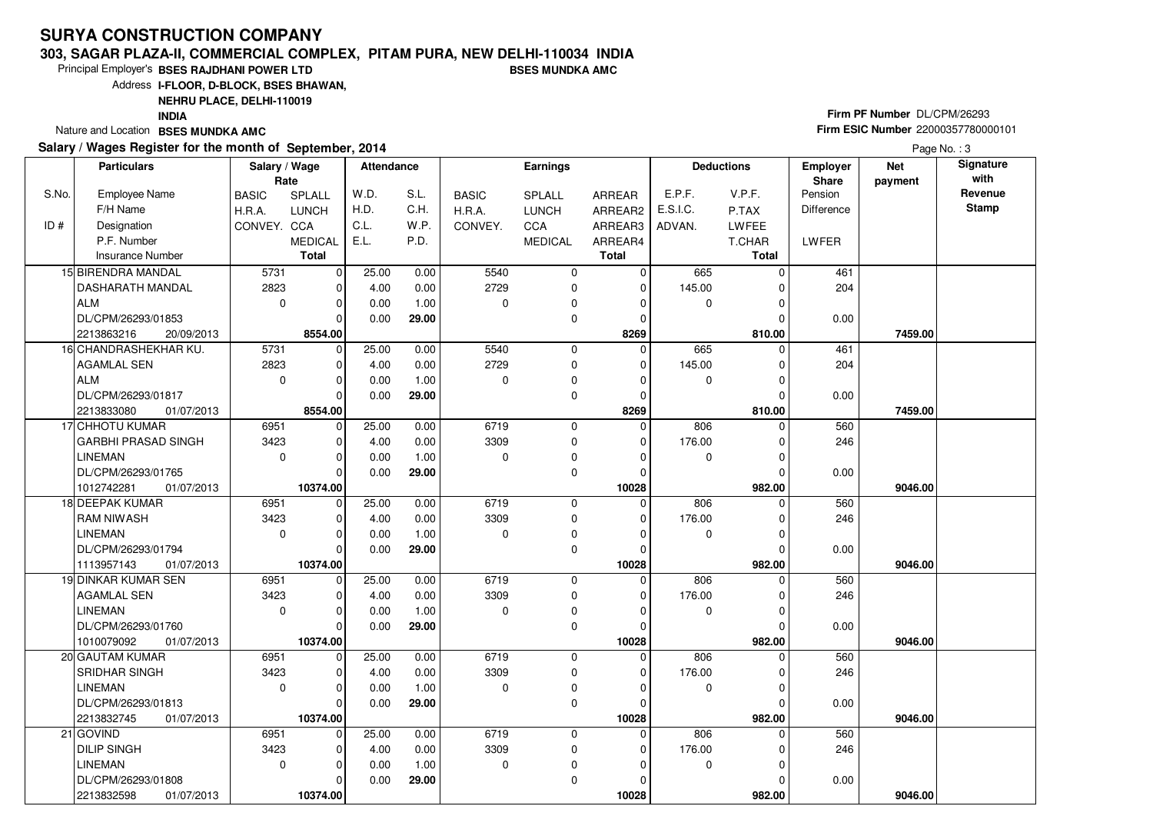#### **303, SAGAR PLAZA-II, COMMERCIAL COMPLEX, PITAM PURA, NEW DELHI-110034 INDIABSES MUNDKA AMC**

Principal Employer's**BSES RAJDHANI POWER LTD**

Address**I-FLOOR, D-BLOCK, BSES BHAWAN,**

**NEHRU PLACE, DELHI-110019**

**INDIA**

Nature and Location **BSES MUNDKA AMC** 

#### **Salary / Wages Register for the month of September, 2014**

# **Firm PF Number** DL/CPM/26293 **Firm ESIC Number** <sup>22000357780000101</sup>

|       | <b>Particulars</b>         | Salary / Wage<br>Rate |                | <b>Attendance</b> |       |              | <b>Earnings</b> |              |             | <b>Deductions</b> | <b>Employer</b><br>Share | <b>Net</b><br>payment | Signature<br>with |
|-------|----------------------------|-----------------------|----------------|-------------------|-------|--------------|-----------------|--------------|-------------|-------------------|--------------------------|-----------------------|-------------------|
| S.No. | Employee Name              | <b>BASIC</b>          | SPLALL         | W.D.              | S.L.  | <b>BASIC</b> | SPLALL          | ARREAR       | E.P.F.      | V.P.F.            | Pension                  |                       | Revenue           |
|       | F/H Name                   | H.R.A.                | <b>LUNCH</b>   | H.D.              | C.H.  | H.R.A.       | <b>LUNCH</b>    | ARREAR2      | E.S.I.C.    | P.TAX             | Difference               |                       | <b>Stamp</b>      |
| ID#   | Designation                | CONVEY. CCA           |                | C.L.              | W.P.  | CONVEY.      | CCA             | ARREAR3      | ADVAN.      | <b>LWFEE</b>      |                          |                       |                   |
|       | P.F. Number                |                       | <b>MEDICAL</b> | E.L.              | P.D.  |              | <b>MEDICAL</b>  | ARREAR4      |             | T.CHAR            | LWFER                    |                       |                   |
|       | <b>Insurance Number</b>    |                       | <b>Total</b>   |                   |       |              |                 | <b>Total</b> |             | Total             |                          |                       |                   |
|       | 15 BIRENDRA MANDAL         | 5731                  | $\mathbf 0$    | 25.00             | 0.00  | 5540         | 0               | $\mathbf 0$  | 665         | $\Omega$          | 461                      |                       |                   |
|       | DASHARATH MANDAL           | 2823                  | $\mathbf 0$    | 4.00              | 0.00  | 2729         | 0               | $\mathbf 0$  | 145.00      | $\Omega$          | 204                      |                       |                   |
|       | ALM                        | $\mathbf 0$           | $\mathbf 0$    | 0.00              | 1.00  | 0            | 0               | 0            | 0           | $\Omega$          |                          |                       |                   |
|       | DL/CPM/26293/01853         |                       | $\Omega$       | 0.00              | 29.00 |              | 0               | $\mathbf 0$  |             |                   | 0.00                     |                       |                   |
|       | 2213863216<br>20/09/2013   |                       | 8554.00        |                   |       |              |                 | 8269         |             | 810.00            |                          | 7459.00               |                   |
|       | 16 CHANDRASHEKHAR KU.      | 5731                  | $\mathbf 0$    | 25.00             | 0.00  | 5540         | 0               | $\Omega$     | 665         | $\Omega$          | 461                      |                       |                   |
|       | AGAMLAL SEN                | 2823                  | $\mathbf 0$    | 4.00              | 0.00  | 2729         | $\mathbf 0$     | $\Omega$     | 145.00      | $\Omega$          | 204                      |                       |                   |
|       | ALM                        | $\mathbf 0$           | $\Omega$       | 0.00              | 1.00  | $\Omega$     | 0               | $\Omega$     | 0           |                   |                          |                       |                   |
|       | DL/CPM/26293/01817         |                       | $\Omega$       | 0.00              | 29.00 |              | $\mathbf 0$     | 0            |             | $\Omega$          | 0.00                     |                       |                   |
|       | 2213833080<br>01/07/2013   |                       | 8554.00        |                   |       |              |                 | 8269         |             | 810.00            |                          | 7459.00               |                   |
|       | 17 CHHOTU KUMAR            | 6951                  | $\mathbf 0$    | 25.00             | 0.00  | 6719         | $\mathbf 0$     | $\Omega$     | 806         | $\Omega$          | 560                      |                       |                   |
|       | <b>GARBHI PRASAD SINGH</b> | 3423                  | $\mathbf 0$    | 4.00              | 0.00  | 3309         | 0               | 0            | 176.00      | 0                 | 246                      |                       |                   |
|       | <b>LINEMAN</b>             | $\mathbf 0$           | $\Omega$       | 0.00              | 1.00  | $\Omega$     | 0               | $\Omega$     | $\mathbf 0$ | $\Omega$          |                          |                       |                   |
|       | DL/CPM/26293/01765         |                       | $\Omega$       | 0.00              | 29.00 |              | 0               | 0            |             |                   | 0.00                     |                       |                   |
|       | 1012742281<br>01/07/2013   |                       | 10374.00       |                   |       |              |                 | 10028        |             | 982.00            |                          | 9046.00               |                   |
|       | 18 DEEPAK KUMAR            | 6951                  | $\mathbf 0$    | 25.00             | 0.00  | 6719         | $\mathbf 0$     | $\Omega$     | 806         | $\Omega$          | 560                      |                       |                   |
|       | <b>RAM NIWASH</b>          | 3423                  | $\Omega$       | 4.00              | 0.00  | 3309         | 0               | $\Omega$     | 176.00      | $\Omega$          | 246                      |                       |                   |
|       | LINEMAN                    | $\Omega$              | $\Omega$       | 0.00              | 1.00  | $\Omega$     | 0               | O            | $\mathbf 0$ | $\Omega$          |                          |                       |                   |
|       | DL/CPM/26293/01794         |                       | $\Omega$       | 0.00              | 29.00 |              | $\mathbf 0$     | $\Omega$     |             |                   | 0.00                     |                       |                   |
|       | 1113957143<br>01/07/2013   |                       | 10374.00       |                   |       |              |                 | 10028        |             | 982.00            |                          | 9046.00               |                   |
|       | 19 DINKAR KUMAR SEN        | 6951                  | $\mathbf 0$    | 25.00             | 0.00  | 6719         | $\mathbf 0$     | $\mathbf 0$  | 806         |                   | 560                      |                       |                   |
|       | AGAMLAL SEN                | 3423                  | $\Omega$       | 4.00              | 0.00  | 3309         | 0               | $\Omega$     | 176.00      | $\Omega$          | 246                      |                       |                   |
|       | <b>LINEMAN</b>             | $\mathbf 0$           | $\Omega$       | 0.00              | 1.00  | $\Omega$     | $\mathbf 0$     | 0            | 0           | $\Omega$          |                          |                       |                   |
|       | DL/CPM/26293/01760         |                       | $\Omega$       | 0.00              | 29.00 |              | $\mathbf 0$     | $\Omega$     |             |                   | 0.00                     |                       |                   |
|       | 1010079092<br>01/07/2013   |                       | 10374.00       |                   |       |              |                 | 10028        |             | 982.00            |                          | 9046.00               |                   |
|       | 20 GAUTAM KUMAR            | 6951                  | $\mathbf 0$    | 25.00             | 0.00  | 6719         | $\mathbf 0$     | $\mathbf 0$  | 806         | $\Omega$          | 560                      |                       |                   |
|       | <b>SRIDHAR SINGH</b>       | 3423                  | $\Omega$       | 4.00              | 0.00  | 3309         | $\mathbf 0$     | $\Omega$     | 176.00      | $\Omega$          | 246                      |                       |                   |
|       | <b>LINEMAN</b>             | $\mathbf 0$           | $\Omega$       | 0.00              | 1.00  | $\Omega$     | 0               | $\Omega$     | 0           |                   |                          |                       |                   |
|       | DL/CPM/26293/01813         |                       | $\Omega$       | 0.00              | 29.00 |              | $\mathbf 0$     | O            |             | $\Omega$          | 0.00                     |                       |                   |
|       | 2213832745<br>01/07/2013   |                       | 10374.00       |                   |       |              |                 | 10028        |             | 982.00            |                          | 9046.00               |                   |
|       | 21 GOVIND                  | 6951                  | $\Omega$       | 25.00             | 0.00  | 6719         | $\mathbf 0$     | $\Omega$     | 806         | $\Omega$          | 560                      |                       |                   |
|       | <b>DILIP SINGH</b>         | 3423                  | $\mathbf 0$    | 4.00              | 0.00  | 3309         | 0               | 0            | 176.00      |                   | 246                      |                       |                   |
|       | <b>LINEMAN</b>             | $\mathbf 0$           | $\Omega$       | 0.00              | 1.00  | 0            | 0               | $\Omega$     | 0           | $\Omega$          |                          |                       |                   |
|       | DL/CPM/26293/01808         |                       | 0              | 0.00              | 29.00 |              | 0               | O            |             |                   | 0.00                     |                       |                   |
|       | 2213832598<br>01/07/2013   |                       | 10374.00       |                   |       |              |                 | 10028        |             | 982.00            |                          | 9046.00               |                   |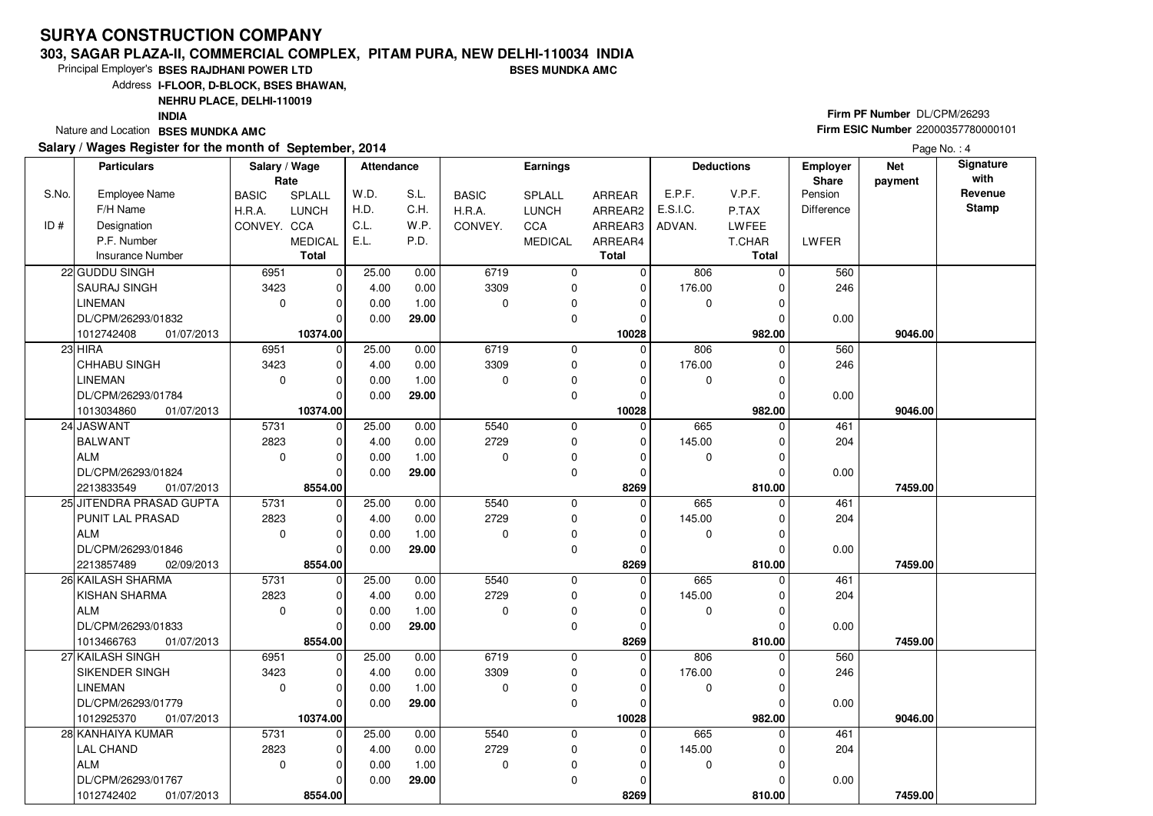#### **303, SAGAR PLAZA-II, COMMERCIAL COMPLEX, PITAM PURA, NEW DELHI-110034 INDIABSES MUNDKA AMC**

Principal Employer's**BSES RAJDHANI POWER LTD**

Address**I-FLOOR, D-BLOCK, BSES BHAWAN,**

### **NEHRU PLACE, DELHI-110019**

**INDIA**

Nature and Location **BSES MUNDKA AMC** 

#### **Salary / Wages Register for the month of September, 2014**

# **Firm PF Number** DL/CPM/26293 **Firm ESIC Number** <sup>22000357780000101</sup>

|       | <b>Particulars</b>       | Salary / Wage<br>Rate |                | <b>Attendance</b> |       |              | <b>Earnings</b> |               |          | <b>Deductions</b> | Employer<br>Share | <b>Net</b><br>payment | Signature<br>with |
|-------|--------------------------|-----------------------|----------------|-------------------|-------|--------------|-----------------|---------------|----------|-------------------|-------------------|-----------------------|-------------------|
| S.No. | <b>Employee Name</b>     | <b>BASIC</b>          | SPLALL         | W.D.              | S.L.  | <b>BASIC</b> | <b>SPLALL</b>   | <b>ARREAR</b> | E.P.F.   | V.P.F.            | Pension           |                       | Revenue           |
|       | F/H Name                 | H.R.A.                | <b>LUNCH</b>   | H.D.              | C.H.  | H.R.A.       | <b>LUNCH</b>    | ARREAR2       | E.S.I.C. | P.TAX             | <b>Difference</b> |                       | <b>Stamp</b>      |
| ID#   | Designation              | CONVEY. CCA           |                | C.L.              | W.P.  | CONVEY.      | CCA             | ARREAR3       | ADVAN.   | LWFEE             |                   |                       |                   |
|       | P.F. Number              |                       | <b>MEDICAL</b> | E.L.              | P.D.  |              | <b>MEDICAL</b>  | ARREAR4       |          | T.CHAR            | LWFER             |                       |                   |
|       | <b>Insurance Number</b>  |                       | <b>Total</b>   |                   |       |              |                 | <b>Total</b>  |          | <b>Total</b>      |                   |                       |                   |
|       | 22 GUDDU SINGH           | 6951                  | $\mathbf 0$    | 25.00             | 0.00  | 6719         | 0               | $\mathbf 0$   | 806      | $\Omega$          | 560               |                       |                   |
|       | <b>SAURAJ SINGH</b>      | 3423                  | $\mathbf 0$    | 4.00              | 0.00  | 3309         | 0               | $\Omega$      | 176.00   | $\Omega$          | 246               |                       |                   |
|       | <b>LINEMAN</b>           | $\mathbf 0$           | $\mathbf 0$    | 0.00              | 1.00  | 0            | 0               | $\Omega$      | 0        | $\Omega$          |                   |                       |                   |
|       | DL/CPM/26293/01832       |                       | $\Omega$       | 0.00              | 29.00 |              | 0               | $\Omega$      |          |                   | 0.00              |                       |                   |
|       | 1012742408<br>01/07/2013 |                       | 10374.00       |                   |       |              |                 | 10028         |          | 982.00            |                   | 9046.00               |                   |
|       | $23$ HIRA                | 6951                  | $\mathbf 0$    | 25.00             | 0.00  | 6719         | 0               | $\Omega$      | 806      | $\Omega$          | 560               |                       |                   |
|       | <b>CHHABU SINGH</b>      | 3423                  | $\mathbf 0$    | 4.00              | 0.00  | 3309         | 0               | 0             | 176.00   | $\Omega$          | 246               |                       |                   |
|       | <b>LINEMAN</b>           | $\mathbf 0$           | $\Omega$       | 0.00              | 1.00  | 0            | $\mathbf 0$     | $\Omega$      | 0        | $\Omega$          |                   |                       |                   |
|       | DL/CPM/26293/01784       |                       | $\Omega$       | 0.00              | 29.00 |              | 0               | 0             |          | $\Omega$          | 0.00              |                       |                   |
|       | 1013034860<br>01/07/2013 |                       | 10374.00       |                   |       |              |                 | 10028         |          | 982.00            |                   | 9046.00               |                   |
|       | 24 JASWANT               | 5731                  | $\mathbf 0$    | 25.00             | 0.00  | 5540         | $\mathbf 0$     | $\Omega$      | 665      | $\Omega$          | 461               |                       |                   |
|       | <b>BALWANT</b>           | 2823                  | 0              | 4.00              | 0.00  | 2729         | 0               | 0             | 145.00   | 0                 | 204               |                       |                   |
|       | ALM                      | $\mathbf 0$           | $\Omega$       | 0.00              | 1.00  | $\Omega$     | 0               | 0             | 0        | $\Omega$          |                   |                       |                   |
|       | DL/CPM/26293/01824       |                       | $\Omega$       | 0.00              | 29.00 |              | $\mathbf 0$     | 0             |          | O                 | 0.00              |                       |                   |
|       | 2213833549<br>01/07/2013 |                       | 8554.00        |                   |       |              |                 | 8269          |          | 810.00            |                   | 7459.00               |                   |
|       | 25 JITENDRA PRASAD GUPTA | 5731                  | $\mathbf 0$    | 25.00             | 0.00  | 5540         | 0               | $\Omega$      | 665      | $\Omega$          | 461               |                       |                   |
|       | PUNIT LAL PRASAD         | 2823                  | $\mathbf 0$    | 4.00              | 0.00  | 2729         | $\mathbf 0$     | $\Omega$      | 145.00   |                   | 204               |                       |                   |
|       | ALM                      | $\mathbf 0$           | $\Omega$       | 0.00              | 1.00  | $\Omega$     | 0               | 0             | 0        | $\Omega$          |                   |                       |                   |
|       | DL/CPM/26293/01846       |                       | $\Omega$       | 0.00              | 29.00 |              | $\mathbf 0$     | $\mathbf 0$   |          | $\Omega$          | 0.00              |                       |                   |
|       | 02/09/2013<br>2213857489 |                       | 8554.00        |                   |       |              |                 | 8269          |          | 810.00            |                   | 7459.00               |                   |
|       | 26 KAILASH SHARMA        | 5731                  | $\mathbf 0$    | 25.00             | 0.00  | 5540         | 0               | $\mathbf 0$   | 665      | $\Omega$          | 461               |                       |                   |
|       | KISHAN SHARMA            | 2823                  | $\mathbf 0$    | 4.00              | 0.00  | 2729         | 0               | 0             | 145.00   | $\Omega$          | 204               |                       |                   |
|       | ALM                      | $\mathbf 0$           | $\Omega$       | 0.00              | 1.00  | $\Omega$     | 0               | $\Omega$      | 0        | $\Omega$          |                   |                       |                   |
|       | DL/CPM/26293/01833       |                       | $\Omega$       | 0.00              | 29.00 |              | 0               | $\mathbf 0$   |          |                   | 0.00              |                       |                   |
|       | 1013466763<br>01/07/2013 |                       | 8554.00        |                   |       |              |                 | 8269          |          | 810.00            |                   | 7459.00               |                   |
|       | 27 KAILASH SINGH         | 6951                  | $\mathbf 0$    | 25.00             | 0.00  | 6719         | 0               | 0             | 806      | $\Omega$          | 560               |                       |                   |
|       | SIKENDER SINGH           | 3423                  | $\mathbf 0$    | 4.00              | 0.00  | 3309         | 0               | 0             | 176.00   | $\Omega$          | 246               |                       |                   |
|       | LINEMAN                  | $\mathbf 0$           | $\Omega$       | 0.00              | 1.00  | $\Omega$     | 0               | $\Omega$      | 0        | $\Omega$          |                   |                       |                   |
|       | DL/CPM/26293/01779       |                       | $\Omega$       | 0.00              | 29.00 |              | $\Omega$        | $\Omega$      |          |                   | 0.00              |                       |                   |
|       | 1012925370<br>01/07/2013 |                       | 10374.00       |                   |       |              |                 | 10028         |          | 982.00            |                   | 9046.00               |                   |
|       | 28 KANHAIYA KUMAR        | 5731                  | 0              | 25.00             | 0.00  | 5540         | 0               | $\mathbf 0$   | 665      | $\Omega$          | 461               |                       |                   |
|       | LAL CHAND                | 2823                  | $\Omega$       | 4.00              | 0.00  | 2729         | 0               | $\Omega$      | 145.00   | O                 | 204               |                       |                   |
|       | ALM                      | $\mathbf 0$           | $\Omega$       | 0.00              | 1.00  | 0            | 0               | 0             | 0        | $\Omega$          |                   |                       |                   |
|       | DL/CPM/26293/01767       |                       | $\Omega$       | 0.00              | 29.00 |              | $\mathbf 0$     | 0             |          |                   | 0.00              |                       |                   |
|       | 1012742402<br>01/07/2013 |                       | 8554.00        |                   |       |              |                 | 8269          |          | 810.00            |                   | 7459.00               |                   |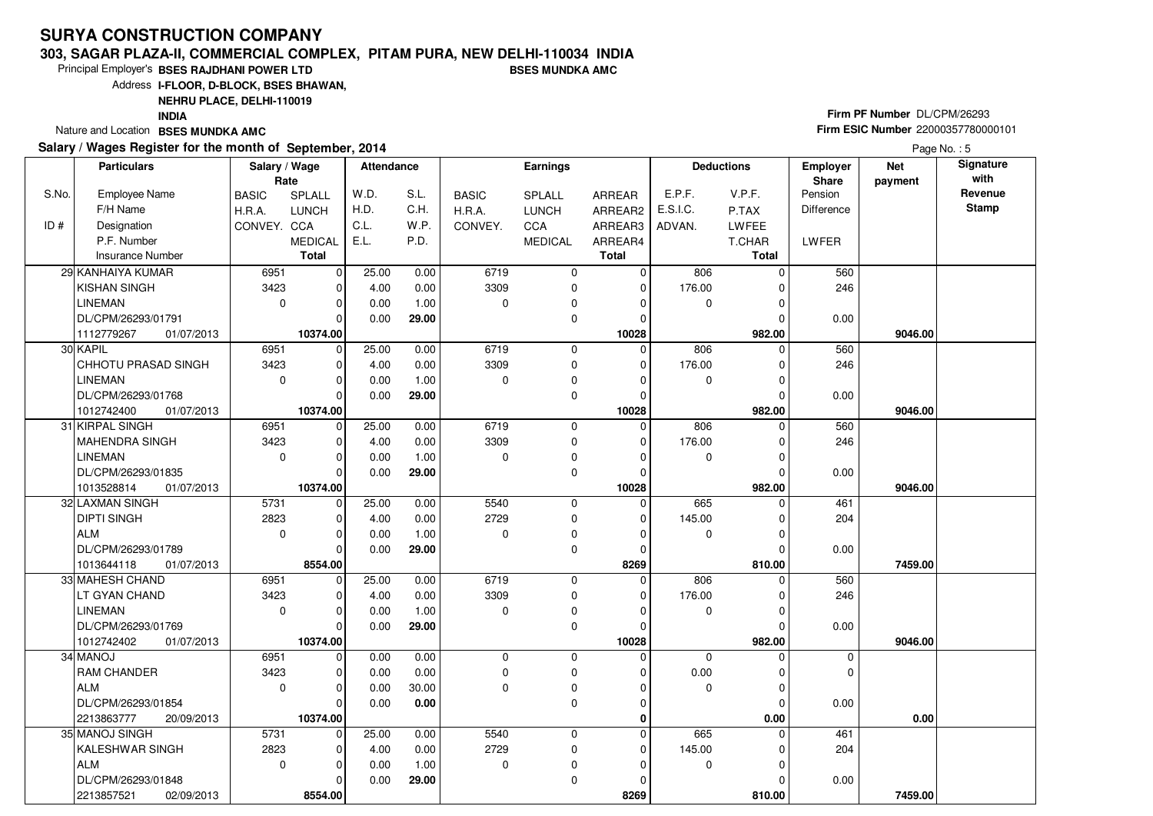#### **303, SAGAR PLAZA-II, COMMERCIAL COMPLEX, PITAM PURA, NEW DELHI-110034 INDIABSES MUNDKA AMC**

Principal Employer's**BSES RAJDHANI POWER LTD**

Address**I-FLOOR, D-BLOCK, BSES BHAWAN,**

### **NEHRU PLACE, DELHI-110019**

**INDIA**

Nature and Location **BSES MUNDKA AMC** 

#### **Salary / Wages Register for the month of September, 2014**

# **Firm PF Number** DL/CPM/26293 **Firm ESIC Number** <sup>22000357780000101</sup>

|       | <b>Particulars</b>         | Salary / Wage<br>Rate |                | <b>Attendance</b> |       |              | Earnings       |               |             | <b>Deductions</b> | <b>Employer</b><br>Share | <b>Net</b><br>payment | Signature<br>with |
|-------|----------------------------|-----------------------|----------------|-------------------|-------|--------------|----------------|---------------|-------------|-------------------|--------------------------|-----------------------|-------------------|
| S.No. | <b>Employee Name</b>       | <b>BASIC</b>          | SPLALL         | W.D.              | S.L.  | <b>BASIC</b> | SPLALL         | <b>ARREAR</b> | E.P.F.      | V.P.F.            | Pension                  |                       | Revenue           |
|       | F/H Name                   | H.R.A.                | <b>LUNCH</b>   | H.D.              | C.H.  | H.R.A.       | <b>LUNCH</b>   | ARREAR2       | E.S.I.C.    | P.TAX             | <b>Difference</b>        |                       | <b>Stamp</b>      |
| ID#   | Designation                | CONVEY. CCA           |                | C.L.              | W.P.  | CONVEY.      | CCA            | ARREAR3       | ADVAN.      | LWFEE             |                          |                       |                   |
|       | P.F. Number                |                       | <b>MEDICAL</b> | E.L.              | P.D.  |              | <b>MEDICAL</b> | ARREAR4       |             | T.CHAR            | <b>LWFER</b>             |                       |                   |
|       | <b>Insurance Number</b>    |                       | <b>Total</b>   |                   |       |              |                | <b>Total</b>  |             | <b>Total</b>      |                          |                       |                   |
|       | 29 KANHAIYA KUMAR          | 6951                  | $\mathbf 0$    | 25.00             | 0.00  | 6719         | 0              | 0             | 806         | $\Omega$          | 560                      |                       |                   |
|       | <b>KISHAN SINGH</b>        | 3423                  | 0              | 4.00              | 0.00  | 3309         | 0              | 0             | 176.00      | ŋ                 | 246                      |                       |                   |
|       | <b>LINEMAN</b>             | $\mathbf 0$           | $\mathbf 0$    | 0.00              | 1.00  | $\mathbf 0$  | 0              | 0             | 0           |                   |                          |                       |                   |
|       | DL/CPM/26293/01791         |                       | $\Omega$       | 0.00              | 29.00 |              | 0              | 0             |             |                   | 0.00                     |                       |                   |
|       | 1112779267<br>01/07/2013   |                       | 10374.00       |                   |       |              |                | 10028         |             | 982.00            |                          | 9046.00               |                   |
|       | 30 KAPIL                   | 6951                  | $\mathbf 0$    | 25.00             | 0.00  | 6719         | 0              | $\Omega$      | 806         | $\Omega$          | 560                      |                       |                   |
|       | <b>CHHOTU PRASAD SINGH</b> | 3423                  | $\mathbf 0$    | 4.00              | 0.00  | 3309         | 0              | 0             | 176.00      |                   | 246                      |                       |                   |
|       | <b>LINEMAN</b>             | $\mathbf 0$           | $\Omega$       | 0.00              | 1.00  | $\mathbf 0$  | $\Omega$       | 0             | $\Omega$    |                   |                          |                       |                   |
|       | DL/CPM/26293/01768         |                       | $\Omega$       | 0.00              | 29.00 |              | 0              | 0             |             |                   | 0.00                     |                       |                   |
|       | 1012742400<br>01/07/2013   |                       | 10374.00       |                   |       |              |                | 10028         |             | 982.00            |                          | 9046.00               |                   |
|       | 31 KIRPAL SINGH            | 6951                  | $\Omega$       | 25.00             | 0.00  | 6719         | 0              | 0             | 806         |                   | 560                      |                       |                   |
|       | MAHENDRA SINGH             | 3423                  | 0              | 4.00              | 0.00  | 3309         | 0              | 0             | 176.00      | 0                 | 246                      |                       |                   |
|       | <b>LINEMAN</b>             | $\mathbf 0$           | $\mathbf 0$    | 0.00              | 1.00  | $\mathbf 0$  | 0              | $\Omega$      | 0           |                   |                          |                       |                   |
|       | DL/CPM/26293/01835         |                       | $\Omega$       | 0.00              | 29.00 |              | 0              | $\Omega$      |             |                   | 0.00                     |                       |                   |
|       | 01/07/2013<br>1013528814   |                       | 10374.00       |                   |       |              |                | 10028         |             | 982.00            |                          | 9046.00               |                   |
|       | 32 LAXMAN SINGH            | 5731                  | $\mathbf 0$    | 25.00             | 0.00  | 5540         | 0              | $\Omega$      | 665         | $\Omega$          | 461                      |                       |                   |
|       | <b>DIPTI SINGH</b>         | 2823                  | $\mathbf 0$    | 4.00              | 0.00  | 2729         | 0              | 0             | 145.00      |                   | 204                      |                       |                   |
|       | ALM                        | $\mathbf 0$           | $\Omega$       | 0.00              | 1.00  | $\Omega$     | $\mathbf 0$    | $\Omega$      | 0           |                   |                          |                       |                   |
|       | DL/CPM/26293/01789         |                       | $\Omega$       | 0.00              | 29.00 |              | 0              | 0             |             |                   | 0.00                     |                       |                   |
|       | 01/07/2013<br>1013644118   |                       | 8554.00        |                   |       |              |                | 8269          |             | 810.00            |                          | 7459.00               |                   |
|       | 33 MAHESH CHAND            | 6951                  | $\mathbf 0$    | 25.00             | 0.00  | 6719         | 0              | $\mathbf 0$   | 806         | 0                 | 560                      |                       |                   |
|       | LT GYAN CHAND              | 3423                  | $\mathbf 0$    | 4.00              | 0.00  | 3309         | 0              | 0             | 176.00      | 0                 | 246                      |                       |                   |
|       | <b>LINEMAN</b>             | $\mathbf 0$           | $\Omega$       | 0.00              | 1.00  | $\Omega$     | 0              | 0             | 0           |                   |                          |                       |                   |
|       | DL/CPM/26293/01769         |                       | $\Omega$       | 0.00              | 29.00 |              | 0              | $\Omega$      |             |                   | 0.00                     |                       |                   |
|       | 1012742402<br>01/07/2013   |                       | 10374.00       |                   |       |              |                | 10028         |             | 982.00            |                          | 9046.00               |                   |
|       | 34 MANOJ                   | 6951                  | $\mathbf 0$    | 0.00              | 0.00  | $\mathbf 0$  | 0              | $\Omega$      | $\mathbf 0$ | $\Omega$          | $\mathbf 0$              |                       |                   |
|       | <b>RAM CHANDER</b>         | 3423                  | $\mathbf 0$    | 0.00              | 0.00  | $\Omega$     | 0              | $\Omega$      | 0.00        |                   | $\mathbf 0$              |                       |                   |
|       | ALM                        | $\mathbf 0$           | $\Omega$       | 0.00              | 30.00 | $\Omega$     | $\mathbf 0$    | $\Omega$      | $\Omega$    | $\Omega$          |                          |                       |                   |
|       | DL/CPM/26293/01854         |                       | $\Omega$       | 0.00              | 0.00  |              | 0              | 0             |             |                   | 0.00                     |                       |                   |
|       | 2213863777<br>20/09/2013   |                       | 10374.00       |                   |       |              |                | 0             |             | 0.00              |                          | 0.00                  |                   |
|       | 35 MANOJ SINGH             | 5731                  | $\mathbf 0$    | 25.00             | 0.00  | 5540         | $\mathbf 0$    | 0             | 665         |                   | 461                      |                       |                   |
|       | KALESHWAR SINGH            | 2823                  | 0              | 4.00              | 0.00  | 2729         | 0              | 0             | 145.00      |                   | 204                      |                       |                   |
|       | ALM                        | $\Omega$              | $\Omega$       | 0.00              | 1.00  | $\Omega$     | $\pmb{0}$      | $\Omega$      | $\mathbf 0$ |                   |                          |                       |                   |
|       | DL/CPM/26293/01848         |                       | $\Omega$       | 0.00              | 29.00 |              | 0              | $\Omega$      |             |                   | 0.00                     |                       |                   |
|       | 2213857521<br>02/09/2013   |                       | 8554.00        |                   |       |              |                | 8269          |             | 810.00            |                          | 7459.00               |                   |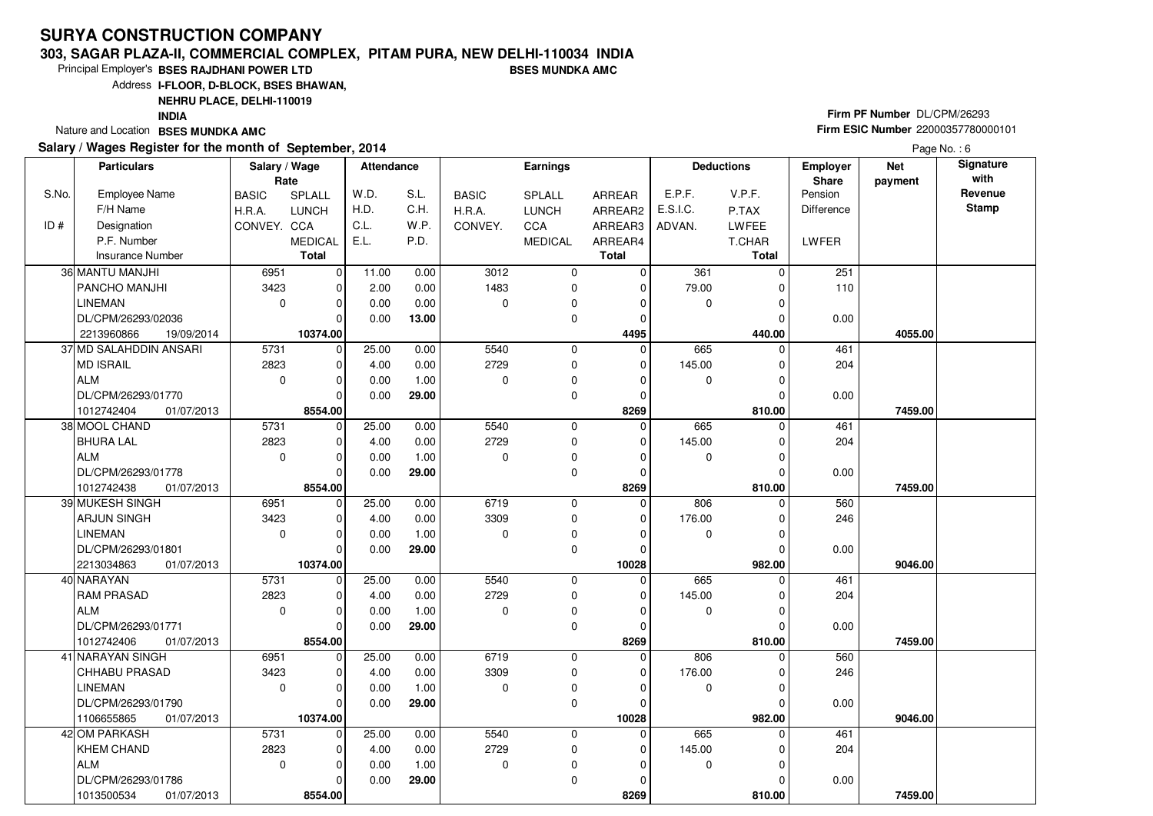#### **303, SAGAR PLAZA-II, COMMERCIAL COMPLEX, PITAM PURA, NEW DELHI-110034 INDIABSES MUNDKA AMC**

Principal Employer's**BSES RAJDHANI POWER LTD**

Address**I-FLOOR, D-BLOCK, BSES BHAWAN,**

**NEHRU PLACE, DELHI-110019**

**INDIA**

Nature and Location **BSES MUNDKA AMC** 

#### **Salary / Wages Register for the month of September, 2014**

# **Firm PF Number** DL/CPM/26293 **Firm ESIC Number** <sup>22000357780000101</sup>

|       | <b>Particulars</b>       | Salary / Wage<br>Rate |                | <b>Attendance</b> |       |              | <b>Earnings</b> |                |          | <b>Deductions</b> | <b>Employer</b><br>Share | <b>Net</b><br>payment | Signature<br>with |
|-------|--------------------------|-----------------------|----------------|-------------------|-------|--------------|-----------------|----------------|----------|-------------------|--------------------------|-----------------------|-------------------|
| S.No. | <b>Employee Name</b>     | <b>BASIC</b>          | SPLALL         | W.D.              | S.L.  | <b>BASIC</b> | SPLALL          | <b>ARREAR</b>  | E.P.F.   | V.P.F.            | Pension                  |                       | Revenue           |
|       | F/H Name                 | H.R.A.                | <b>LUNCH</b>   | H.D.              | C.H.  | H.R.A.       | LUNCH           | ARREAR2        | E.S.I.C. | P.TAX             | <b>Difference</b>        |                       | <b>Stamp</b>      |
| ID#   | Designation              | CONVEY. CCA           |                | C.L.              | W.P.  | CONVEY.      | CCA             | ARREAR3        | ADVAN.   | <b>LWFEE</b>      |                          |                       |                   |
|       | P.F. Number              |                       | <b>MEDICAL</b> | E.L.              | P.D.  |              | <b>MEDICAL</b>  | ARREAR4        |          | T.CHAR            | LWFER                    |                       |                   |
|       | <b>Insurance Number</b>  |                       | <b>Total</b>   |                   |       |              |                 | <b>Total</b>   |          | Total             |                          |                       |                   |
|       | 36 MANTU MANJHI          | 6951                  | $\mathbf 0$    | 11.00             | 0.00  | 3012         | 0               | 0              | 361      | $\Omega$          | 251                      |                       |                   |
|       | <b>PANCHO MANJHI</b>     | 3423                  | $\mathbf 0$    | 2.00              | 0.00  | 1483         | 0               | $\Omega$       | 79.00    |                   | 110                      |                       |                   |
|       | <b>LINEMAN</b>           | $\mathbf 0$           | $\mathbf 0$    | 0.00              | 0.00  | $\mathbf 0$  | 0               | 0              | 0        |                   |                          |                       |                   |
|       | DL/CPM/26293/02036       |                       | $\Omega$       | 0.00              | 13.00 |              | 0               | 0              |          |                   | 0.00                     |                       |                   |
|       | 2213960866<br>19/09/2014 |                       | 10374.00       |                   |       |              |                 | 4495           |          | 440.00            |                          | 4055.00               |                   |
|       | 37 MD SALAHDDIN ANSARI   | 5731                  | $\mathbf 0$    | 25.00             | 0.00  | 5540         | 0               | $\Omega$       | 665      | $\Omega$          | 461                      |                       |                   |
|       | <b>MD ISRAIL</b>         | 2823                  | $\mathbf 0$    | 4.00              | 0.00  | 2729         | 0               | 0              | 145.00   | $\Omega$          | 204                      |                       |                   |
|       | ALM                      | $\mathbf 0$           | $\Omega$       | 0.00              | 1.00  | $\mathbf 0$  | 0               | 0              | 0        |                   |                          |                       |                   |
|       | DL/CPM/26293/01770       |                       | $\Omega$       | 0.00              | 29.00 |              | 0               | 0              |          |                   | 0.00                     |                       |                   |
|       | 01/07/2013<br>1012742404 |                       | 8554.00        |                   |       |              |                 | 8269           |          | 810.00            |                          | 7459.00               |                   |
|       | 38 MOOL CHAND            | 5731                  | $\mathbf 0$    | 25.00             | 0.00  | 5540         | 0               | $\overline{0}$ | 665      |                   | 461                      |                       |                   |
|       | <b>BHURA LAL</b>         | 2823                  | 0              | 4.00              | 0.00  | 2729         | 0               | 0              | 145.00   | 0                 | 204                      |                       |                   |
|       | ALM                      | $\mathbf 0$           | $\mathbf 0$    | 0.00              | 1.00  | $\mathbf 0$  | 0               | $\Omega$       | 0        |                   |                          |                       |                   |
|       | DL/CPM/26293/01778       |                       | $\Omega$       | 0.00              | 29.00 |              | 0               | 0              |          |                   | 0.00                     |                       |                   |
|       | 1012742438<br>01/07/2013 |                       | 8554.00        |                   |       |              |                 | 8269           |          | 810.00            |                          | 7459.00               |                   |
|       | 39 MUKESH SINGH          | 6951                  | $\mathbf 0$    | 25.00             | 0.00  | 6719         | 0               | $\Omega$       | 806      | $\Omega$          | 560                      |                       |                   |
|       | ARJUN SINGH              | 3423                  | $\mathbf 0$    | 4.00              | 0.00  | 3309         | 0               | 0              | 176.00   |                   | 246                      |                       |                   |
|       | <b>LINEMAN</b>           | $\mathbf 0$           | $\Omega$       | 0.00              | 1.00  | 0            | 0               | 0              | 0        |                   |                          |                       |                   |
|       | DL/CPM/26293/01801       |                       | $\Omega$       | 0.00              | 29.00 |              | 0               | 0              |          |                   | 0.00                     |                       |                   |
|       | 2213034863<br>01/07/2013 |                       | 10374.00       |                   |       |              |                 | 10028          |          | 982.00            |                          | 9046.00               |                   |
|       | 40 NARAYAN               | 5731                  | $\mathbf 0$    | 25.00             | 0.00  | 5540         | 0               | $\mathbf 0$    | 665      |                   | 461                      |                       |                   |
|       | <b>RAM PRASAD</b>        | 2823                  | $\mathbf 0$    | 4.00              | 0.00  | 2729         | 0               | 0              | 145.00   |                   | 204                      |                       |                   |
|       | ALM                      | $\mathbf 0$           | $\Omega$       | 0.00              | 1.00  | $\Omega$     | $\mathbf 0$     | 0              | 0        |                   |                          |                       |                   |
|       | DL/CPM/26293/01771       |                       | $\mathbf 0$    | 0.00              | 29.00 |              | 0               | 0              |          |                   | 0.00                     |                       |                   |
|       | 1012742406<br>01/07/2013 |                       | 8554.00        |                   |       |              |                 | 8269           |          | 810.00            |                          | 7459.00               |                   |
|       | 41 NARAYAN SINGH         | 6951                  | $\mathbf 0$    | 25.00             | 0.00  | 6719         | $\mathbf 0$     | 0              | 806      | $\Omega$          | 560                      |                       |                   |
|       | <b>CHHABU PRASAD</b>     | 3423                  | 0              | 4.00              | 0.00  | 3309         | 0               | 0              | 176.00   |                   | 246                      |                       |                   |
|       | LINEMAN                  | $\mathbf 0$           | $\Omega$       | 0.00              | 1.00  | $\mathbf 0$  | 0               | 0              | 0        |                   |                          |                       |                   |
|       | DL/CPM/26293/01790       |                       | $\Omega$       | 0.00              | 29.00 |              | 0               | $\Omega$       |          |                   | 0.00                     |                       |                   |
|       | 1106655865<br>01/07/2013 |                       | 10374.00       |                   |       |              |                 | 10028          |          | 982.00            |                          | 9046.00               |                   |
|       | 42 OM PARKASH            | 5731                  | $\mathbf 0$    | 25.00             | 0.00  | 5540         | 0               | 0              | 665      |                   | 461                      |                       |                   |
|       | <b>KHEM CHAND</b>        | 2823                  | 0              | 4.00              | 0.00  | 2729         | 0               | 0              | 145.00   |                   | 204                      |                       |                   |
|       | ALM                      | $\mathbf 0$           | $\Omega$       | 0.00              | 1.00  | $\mathbf 0$  | 0               | 0              | 0        |                   |                          |                       |                   |
|       | DL/CPM/26293/01786       |                       | $\Omega$       | 0.00              | 29.00 |              | 0               | $\Omega$       |          |                   | 0.00                     |                       |                   |
|       | 1013500534<br>01/07/2013 |                       | 8554.00        |                   |       |              |                 | 8269           |          | 810.00            |                          | 7459.00               |                   |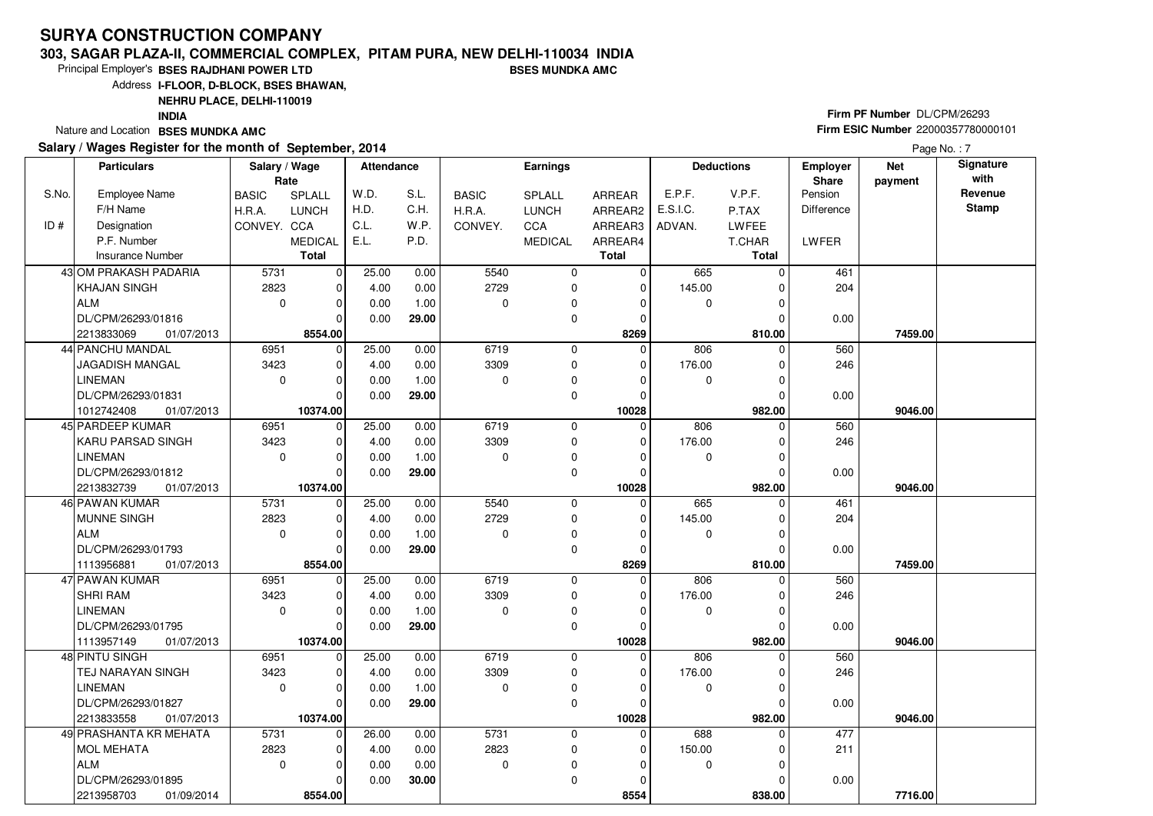#### **303, SAGAR PLAZA-II, COMMERCIAL COMPLEX, PITAM PURA, NEW DELHI-110034 INDIABSES MUNDKA AMC**

Principal Employer's**BSES RAJDHANI POWER LTD**

Address**I-FLOOR, D-BLOCK, BSES BHAWAN,**

**NEHRU PLACE, DELHI-110019**

**INDIA**

Nature and Location **BSES MUNDKA AMC** 

#### **Salary / Wages Register for the month of September, 2014**

# **Firm PF Number** DL/CPM/26293 **Firm ESIC Number** <sup>22000357780000101</sup>

Page No.: 7

|       | <b>Particulars</b>       | Salary / Wage<br>Rate |                | <b>Attendance</b> |       |              | <b>Earnings</b> |               |             | <b>Deductions</b> | <b>Employer</b><br>Share | <b>Net</b><br>payment | Signature<br>with |
|-------|--------------------------|-----------------------|----------------|-------------------|-------|--------------|-----------------|---------------|-------------|-------------------|--------------------------|-----------------------|-------------------|
| S.No. | <b>Employee Name</b>     | <b>BASIC</b>          | SPLALL         | W.D.              | S.L.  | <b>BASIC</b> | SPLALL          | <b>ARREAR</b> | E.P.F.      | V.P.F.            | Pension                  |                       | Revenue           |
|       | F/H Name                 | H.R.A.                | <b>LUNCH</b>   | H.D.              | C.H.  | H.R.A.       | <b>LUNCH</b>    | ARREAR2       | E.S.I.C.    | P.TAX             | Difference               |                       | <b>Stamp</b>      |
| ID#   | Designation              | CONVEY. CCA           |                | C.L.              | W.P.  | CONVEY.      | <b>CCA</b>      | ARREAR3       | ADVAN.      | <b>LWFEE</b>      |                          |                       |                   |
|       | P.F. Number              |                       | <b>MEDICAL</b> | E.L.              | P.D.  |              | <b>MEDICAL</b>  | ARREAR4       |             | T.CHAR            | LWFER                    |                       |                   |
|       | <b>Insurance Number</b>  |                       | <b>Total</b>   |                   |       |              |                 | <b>Total</b>  |             | <b>Total</b>      |                          |                       |                   |
|       | 43 OM PRAKASH PADARIA    | 5731                  | $\mathbf 0$    | 25.00             | 0.00  | 5540         | $\mathbf 0$     | $\Omega$      | 665         | 0                 | 461                      |                       |                   |
|       | <b>KHAJAN SINGH</b>      | 2823                  | $\mathbf 0$    | 4.00              | 0.00  | 2729         | 0               | $\mathbf 0$   | 145.00      |                   | 204                      |                       |                   |
|       | ALM                      | $\mathbf 0$           | $\mathbf 0$    | 0.00              | 1.00  | $\Omega$     | $\mathbf 0$     | 0             | $\mathbf 0$ | 0                 |                          |                       |                   |
|       | DL/CPM/26293/01816       |                       | $\Omega$       | 0.00              | 29.00 |              | 0               | 0             |             |                   | 0.00                     |                       |                   |
|       | 01/07/2013<br>2213833069 |                       | 8554.00        |                   |       |              |                 | 8269          |             | 810.00            |                          | 7459.00               |                   |
|       | <b>44 PANCHU MANDAL</b>  | 6951                  | $\mathbf 0$    | 25.00             | 0.00  | 6719         | $\Omega$        | $\Omega$      | 806         | $\Omega$          | 560                      |                       |                   |
|       | <b>JAGADISH MANGAL</b>   | 3423                  | $\mathbf 0$    | 4.00              | 0.00  | 3309         | 0               | 0             | 176.00      |                   | 246                      |                       |                   |
|       | <b>LINEMAN</b>           | $\mathbf 0$           | $\mathbf 0$    | 0.00              | 1.00  | $\mathbf 0$  | $\mathbf 0$     | 0             | 0           | 0                 |                          |                       |                   |
|       | DL/CPM/26293/01831       |                       | $\Omega$       | 0.00              | 29.00 |              | $\mathbf 0$     | $\Omega$      |             | O                 | 0.00                     |                       |                   |
|       | 01/07/2013<br>1012742408 |                       | 10374.00       |                   |       |              |                 | 10028         |             | 982.00            |                          | 9046.00               |                   |
|       | 45 PARDEEP KUMAR         | 6951                  | $\mathbf 0$    | 25.00             | 0.00  | 6719         | $\Omega$        | $\Omega$      | 806         | U                 | 560                      |                       |                   |
|       | KARU PARSAD SINGH        | 3423                  | $\mathbf 0$    | 4.00              | 0.00  | 3309         | 0               | 0             | 176.00      | $\Omega$          | 246                      |                       |                   |
|       | <b>LINEMAN</b>           | $\mathbf 0$           | $\mathbf 0$    | 0.00              | 1.00  | $\mathbf 0$  | $\mathbf 0$     | 0             | 0           | 0                 |                          |                       |                   |
|       | DL/CPM/26293/01812       |                       | $\Omega$       | 0.00              | 29.00 |              | $\mathbf 0$     | $\Omega$      |             |                   | 0.00                     |                       |                   |
|       | 2213832739<br>01/07/2013 |                       | 10374.00       |                   |       |              |                 | 10028         |             | 982.00            |                          | 9046.00               |                   |
|       | 46 PAWAN KUMAR           | 5731                  | $\mathbf 0$    | 25.00             | 0.00  | 5540         | $\mathbf 0$     | $\Omega$      | 665         | $\Omega$          | 461                      |                       |                   |
|       | MUNNE SINGH              | 2823                  | 0              | 4.00              | 0.00  | 2729         | 0               | $\Omega$      | 145.00      | 0                 | 204                      |                       |                   |
|       | ALM                      | $\mathbf 0$           | $\mathbf 0$    | 0.00              | 1.00  | $\Omega$     | $\mathbf 0$     | $\Omega$      | 0           | 0                 |                          |                       |                   |
|       | DL/CPM/26293/01793       |                       | $\Omega$       | 0.00              | 29.00 |              | $\mathbf 0$     | $\Omega$      |             |                   | 0.00                     |                       |                   |
|       | 1113956881<br>01/07/2013 |                       | 8554.00        |                   |       |              |                 | 8269          |             | 810.00            |                          | 7459.00               |                   |
|       | 47 PAWAN KUMAR           | 6951                  | $\mathbf 0$    | 25.00             | 0.00  | 6719         | $\mathbf 0$     | $\Omega$      | 806         | 0                 | 560                      |                       |                   |
|       | <b>SHRI RAM</b>          | 3423                  | $\mathbf 0$    | 4.00              | 0.00  | 3309         | $\mathbf 0$     | 0             | 176.00      | $\Omega$          | 246                      |                       |                   |
|       | <b>LINEMAN</b>           | $\mathbf 0$           | $\mathbf 0$    | 0.00              | 1.00  | $\Omega$     | 0               | $\Omega$      | 0           | $\Omega$          |                          |                       |                   |
|       | DL/CPM/26293/01795       |                       | $\Omega$       | 0.00              | 29.00 |              | $\mathbf 0$     | $\Omega$      |             | 0                 | 0.00                     |                       |                   |
|       | 1113957149<br>01/07/2013 |                       | 10374.00       |                   |       |              |                 | 10028         |             | 982.00            |                          | 9046.00               |                   |
|       | 48 PINTU SINGH           | 6951                  | $\mathbf 0$    | 25.00             | 0.00  | 6719         | 0               | $\Omega$      | 806         | $\Omega$          | 560                      |                       |                   |
|       | <b>TEJ NARAYAN SINGH</b> | 3423                  | $\mathbf 0$    | 4.00              | 0.00  | 3309         | 0               | 0             | 176.00      | 0                 | 246                      |                       |                   |
|       | LINEMAN                  | $\mathbf 0$           | $\mathbf 0$    | 0.00              | 1.00  | $\Omega$     | 0               | $\Omega$      | 0           | 0                 |                          |                       |                   |
|       | DL/CPM/26293/01827       |                       | $\Omega$       | 0.00              | 29.00 |              | $\mathbf 0$     | $\Omega$      |             | $\Omega$          | 0.00                     |                       |                   |
|       | 2213833558<br>01/07/2013 |                       | 10374.00       |                   |       |              |                 | 10028         |             | 982.00            |                          | 9046.00               |                   |
|       | 49 PRASHANTA KR MEHATA   | 5731                  | $\mathbf 0$    | 26.00             | 0.00  | 5731         | 0               | $\mathbf 0$   | 688         | $\Omega$          | 477                      |                       |                   |
|       | MOL MEHATA               | 2823                  | $\mathbf 0$    | 4.00              | 0.00  | 2823         | $\mathbf 0$     | $\mathbf 0$   | 150.00      | 0                 | 211                      |                       |                   |
|       | ALM                      | $\mathbf 0$           | $\Omega$       | 0.00              | 0.00  | $\Omega$     | 0               | $\Omega$      | 0           |                   |                          |                       |                   |
|       | DL/CPM/26293/01895       |                       | $\Omega$       | 0.00              | 30.00 |              | $\mathbf 0$     | $\Omega$      |             |                   | 0.00                     |                       |                   |
|       | 2213958703<br>01/09/2014 |                       | 8554.00        |                   |       |              |                 | 8554          |             | 838.00            |                          | 7716.00               |                   |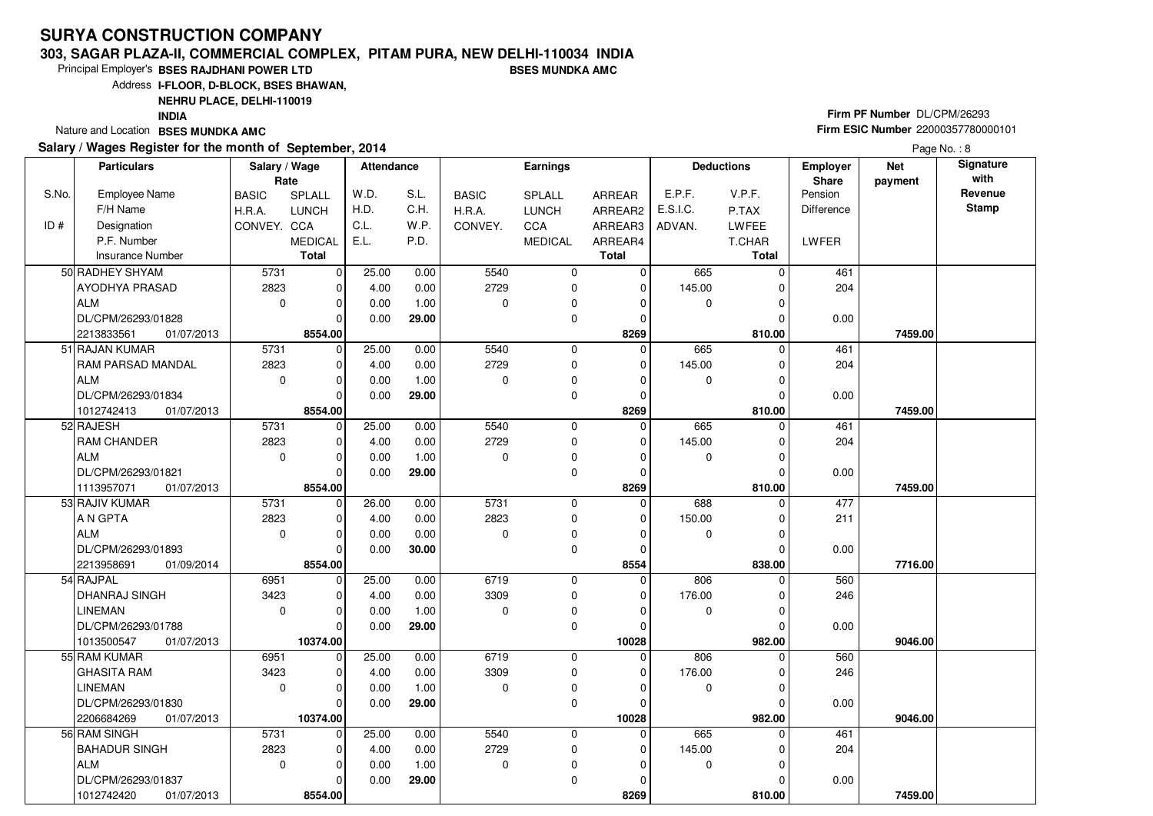#### **303, SAGAR PLAZA-II, COMMERCIAL COMPLEX, PITAM PURA, NEW DELHI-110034 INDIABSES MUNDKA AMC**

Principal Employer's**BSES RAJDHANI POWER LTD**

Address**I-FLOOR, D-BLOCK, BSES BHAWAN,**

**NEHRU PLACE, DELHI-110019**

**INDIA**

Nature and Location **BSES MUNDKA AMC** 

#### **Salary / Wages Register for the month of September, 2014**

# **Firm PF Number** DL/CPM/26293 **Firm ESIC Number** <sup>22000357780000101</sup>

Page No.: 8

|       | <b>Particulars</b>        | Salary / Wage<br>Rate |                         | <b>Attendance</b> |       |              | <b>Earnings</b>  |              |          | <b>Deductions</b> | Employer<br>Share | <b>Net</b><br>payment | Signature<br>with |
|-------|---------------------------|-----------------------|-------------------------|-------------------|-------|--------------|------------------|--------------|----------|-------------------|-------------------|-----------------------|-------------------|
| S.No. | <b>Employee Name</b>      | <b>BASIC</b>          | SPLALL                  | W.D.              | S.L.  | <b>BASIC</b> | SPLALL           | ARREAR       | E.P.F.   | V.P.F.            | Pension           |                       | Revenue           |
|       | F/H Name                  | H.R.A.                | <b>LUNCH</b>            | H.D.              | C.H.  | H.R.A.       | <b>LUNCH</b>     | ARREAR2      | E.S.I.C. | P.TAX             | <b>Difference</b> |                       | <b>Stamp</b>      |
| ID #  | Designation               | CONVEY. CCA           |                         | C.L.              | W.P.  | CONVEY.      | CCA              | ARREAR3      | ADVAN.   | LWFEE             |                   |                       |                   |
|       | P.F. Number               |                       | <b>MEDICAL</b>          | E.L.              | P.D.  |              | <b>MEDICAL</b>   | ARREAR4      |          | T.CHAR            | LWFER             |                       |                   |
|       | <b>Insurance Number</b>   |                       | <b>Total</b>            |                   |       |              |                  | <b>Total</b> |          | <b>Total</b>      |                   |                       |                   |
|       | 50 RADHEY SHYAM           | 5731                  | $\mathbf 0$             | 25.00             | 0.00  | 5540         | 0                | $\mathbf 0$  | 665      | $\Omega$          | 461               |                       |                   |
|       | <b>AYODHYA PRASAD</b>     | 2823                  | $\mathbf 0$             | 4.00              | 0.00  | 2729         | $\mathbf 0$      | $\mathbf 0$  | 145.00   | $\Omega$          | 204               |                       |                   |
|       | ALM                       | $\mathbf{0}$          | $\mathbf 0$             | 0.00              | 1.00  | $\Omega$     | 0                | $\Omega$     | 0        | $\Omega$          |                   |                       |                   |
|       | DL/CPM/26293/01828        |                       | $\Omega$                | 0.00              | 29.00 |              | 0                | 0            |          |                   | 0.00              |                       |                   |
|       | 2213833561<br>01/07/2013  |                       | 8554.00                 |                   |       |              |                  | 8269         |          | 810.00            |                   | 7459.00               |                   |
|       | 51 RAJAN KUMAR            | 5731                  | $\mathbf 0$             | 25.00             | 0.00  | 5540         | 0                | $\mathbf 0$  | 665      | n                 | 461               |                       |                   |
|       | RAM PARSAD MANDAL         | 2823                  | $\mathbf 0$             | 4.00              | 0.00  | 2729         | $\mathbf 0$      | $\Omega$     | 145.00   |                   | 204               |                       |                   |
|       | <b>ALM</b>                | $\mathbf 0$           | $\mathbf 0$             | 0.00              | 1.00  | 0            | 0                | $\Omega$     | 0        | $\Omega$          |                   |                       |                   |
|       | DL/CPM/26293/01834        |                       | $\Omega$                | 0.00              | 29.00 |              | 0                | $\mathbf 0$  |          | $\Omega$          | 0.00              |                       |                   |
|       | 1012742413<br>01/07/2013  |                       | 8554.00                 |                   |       |              |                  | 8269         |          | 810.00            |                   | 7459.00               |                   |
|       | 52 RAJESH                 | 5731                  | $\mathbf 0$             | 25.00             | 0.00  | 5540         | $\mathbf 0$      | $\mathbf 0$  | 665      |                   | 461               |                       |                   |
|       | RAM CHANDER               | 2823                  | $\mathbf 0$             | 4.00              | 0.00  | 2729         | 0                | $\mathbf 0$  | 145.00   | $\Omega$          | 204               |                       |                   |
|       | ALM                       | $\mathbf 0$           | 0                       | 0.00              | 1.00  | $\Omega$     | 0                | 0            | 0        | $\Omega$          |                   |                       |                   |
|       | DL/CPM/26293/01821        |                       | $\Omega$                | 0.00              | 29.00 |              | 0                | 0            |          |                   | 0.00              |                       |                   |
|       | 1113957071<br>01/07/2013  |                       | 8554.00                 |                   |       |              |                  | 8269         |          | 810.00            |                   | 7459.00               |                   |
|       | 53 RAJIV KUMAR            | 5731                  | $\mathbf 0$             | 26.00             | 0.00  | 5731         | 0                | $\mathbf 0$  | 688      | $\Omega$          | 477               |                       |                   |
|       | A N GPTA                  | 2823                  | $\mathbf 0$             | 4.00              | 0.00  | 2823         | 0                | $\Omega$     | 150.00   | $\Omega$          | 211               |                       |                   |
|       | ALM                       | $\mathbf 0$           | $\mathbf 0$             | 0.00              | 0.00  | 0            | $\pmb{0}$        | 0            | 0        | 0                 |                   |                       |                   |
|       | DL/CPM/26293/01893        |                       | $\Omega$                | 0.00              | 30.00 |              | 0                | 0            |          | $\Omega$          | 0.00              |                       |                   |
|       | 2213958691<br>01/09/2014  |                       | 8554.00                 |                   |       |              |                  | 8554         |          | 838.00            |                   | 7716.00               |                   |
|       | 54 RAJPAL                 | 6951                  | $\mathbf 0$             | 25.00             | 0.00  | 6719         | 0                | 0            | 806      | $\Omega$          | 560               |                       |                   |
|       | <b>DHANRAJ SINGH</b>      | 3423                  | $\mathbf 0$             | 4.00              | 0.00  | 3309         | 0                | 0            | 176.00   | 0                 | 246               |                       |                   |
|       | <b>LINEMAN</b>            | $\mathbf 0$           | 0                       | 0.00              | 1.00  | $\Omega$     | 0                | 0            | 0        | $\Omega$          |                   |                       |                   |
|       | DL/CPM/26293/01788        |                       | $\Omega$                | 0.00              | 29.00 |              | 0                | $\Omega$     |          | $\Omega$          | 0.00              |                       |                   |
|       | 1013500547<br>01/07/2013  |                       | 10374.00                |                   |       |              |                  | 10028        |          | 982.00            |                   | 9046.00               |                   |
|       | 55 RAM KUMAR              | 6951                  | $\mathbf 0$             | 25.00             | 0.00  | 6719         | 0                | $\Omega$     | 806      | $\Omega$          | 560               |                       |                   |
|       | <b>GHASITA RAM</b>        | 3423                  | $\mathbf 0$             | 4.00              | 0.00  | 3309         | 0                | 0            | 176.00   | $\Omega$          | 246               |                       |                   |
|       | LINEMAN                   | $\mathbf 0$           | $\Omega$                | 0.00              | 1.00  | $\Omega$     | 0                | $\Omega$     | 0        | $\Omega$          |                   |                       |                   |
|       | DL/CPM/26293/01830        |                       | $\Omega$                | 0.00              | 29.00 |              | $\mathbf 0$      | 0            |          | $\Omega$          | 0.00              |                       |                   |
|       | 2206684269<br>01/07/2013  |                       | 10374.00                |                   |       |              |                  | 10028        |          | 982.00            |                   | 9046.00               |                   |
|       | 56 RAM SINGH              | 5731<br>2823          | $\mathbf 0$             | 25.00             | 0.00  | 5540<br>2729 | 0                | $\mathbf 0$  | 665      | $\Omega$          | 461               |                       |                   |
|       | <b>BAHADUR SINGH</b>      |                       | $\mathbf 0$<br>$\Omega$ | 4.00              | 0.00  |              | 0                | 0            | 145.00   | $\Omega$          | 204               |                       |                   |
|       | ALM<br>DL/CPM/26293/01837 | $\mathbf 0$           | $\Omega$                | 0.00              | 1.00  | $\Omega$     | 0<br>$\mathbf 0$ | 0            | 0        |                   |                   |                       |                   |
|       | 1012742420<br>01/07/2013  |                       | 8554.00                 | 0.00              | 29.00 |              |                  | 0<br>8269    |          | 810.00            | 0.00              | 7459.00               |                   |
|       |                           |                       |                         |                   |       |              |                  |              |          |                   |                   |                       |                   |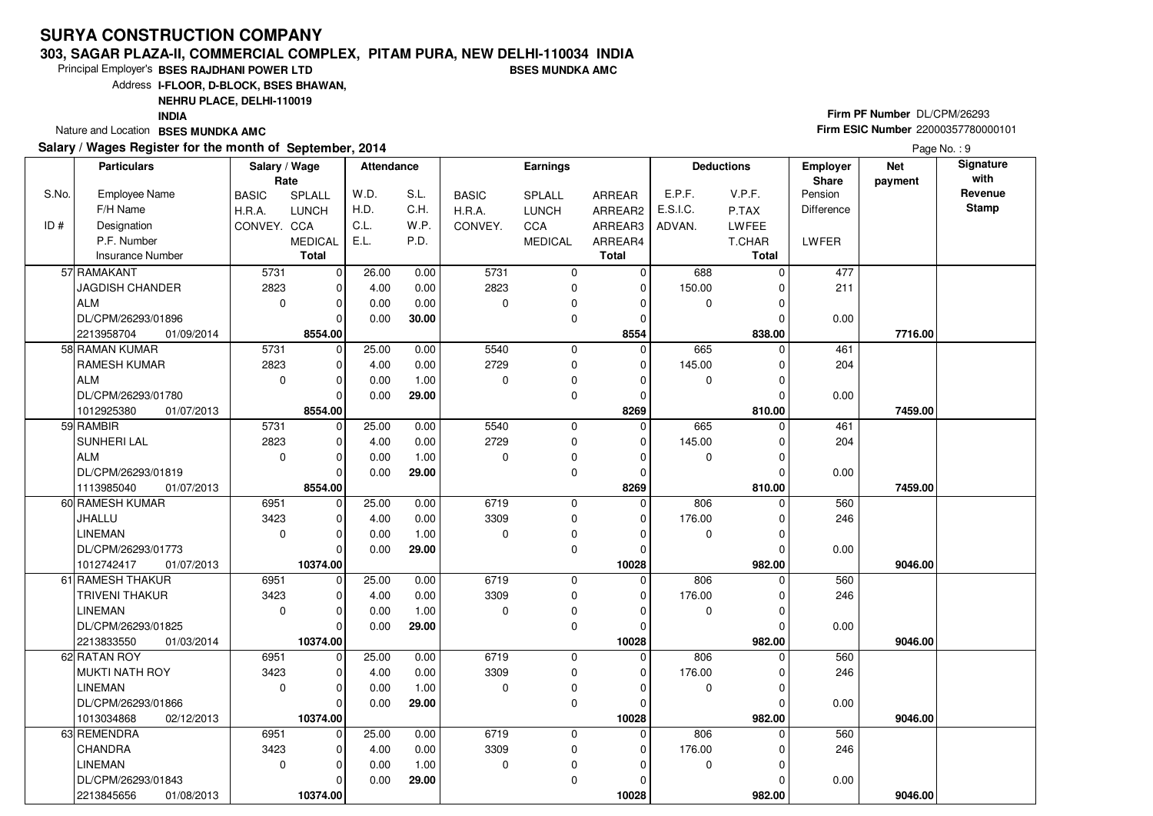#### **303, SAGAR PLAZA-II, COMMERCIAL COMPLEX, PITAM PURA, NEW DELHI-110034 INDIABSES MUNDKA AMC**

Principal Employer's**BSES RAJDHANI POWER LTD**

Address**I-FLOOR, D-BLOCK, BSES BHAWAN,**

**NEHRU PLACE, DELHI-110019**

**INDIA**

Nature and Location **BSES MUNDKA AMC** 

#### **Salary / Wages Register for the month of September, 2014**

# **Firm PF Number** DL/CPM/26293 **Firm ESIC Number** <sup>22000357780000101</sup>

|       | <b>Particulars</b>       | Salary / Wage |                | <b>Attendance</b> |              |              | <b>Earnings</b> |             |             | <b>Deductions</b> | <b>Employer</b>   | <b>Net</b> | Signature       |
|-------|--------------------------|---------------|----------------|-------------------|--------------|--------------|-----------------|-------------|-------------|-------------------|-------------------|------------|-----------------|
|       |                          | Rate          |                |                   |              |              |                 |             |             |                   | Share             | payment    | with<br>Revenue |
| S.No. | Employee Name            | <b>BASIC</b>  | SPLALL         | W.D.              | S.L.<br>C.H. | <b>BASIC</b> | <b>SPLALL</b>   | ARREAR      | E.P.F.      | V.P.F.            | Pension           |            | <b>Stamp</b>    |
|       | F/H Name                 | H.R.A.        | <b>LUNCH</b>   | H.D.<br>C.L.      |              | H.R.A.       | <b>LUNCH</b>    | ARREAR2     | E.S.I.C.    | P.TAX             | <b>Difference</b> |            |                 |
| ID#   | Designation              | CONVEY. CCA   |                |                   | W.P.         | CONVEY.      | <b>CCA</b>      | ARREAR3     | ADVAN.      | LWFEE             |                   |            |                 |
|       | P.F. Number              |               | <b>MEDICAL</b> | E.L.              | P.D.         |              | <b>MEDICAL</b>  | ARREAR4     |             | T.CHAR            | LWFER             |            |                 |
|       | <b>Insurance Number</b>  |               | <b>Total</b>   |                   |              |              |                 | Total       |             | Total             |                   |            |                 |
|       | 57 RAMAKANT              | 5731          | 0              | 26.00             | 0.00         | 5731         | 0               | $\mathbf 0$ | 688         | $\mathbf 0$       | 477               |            |                 |
|       | JAGDISH CHANDER          | 2823          | 0              | 4.00              | 0.00         | 2823         | 0               | $\mathbf 0$ | 150.00      | 0                 | 211               |            |                 |
|       | <b>ALM</b>               | $\mathbf 0$   | 0              | 0.00              | 0.00         | $\mathbf 0$  | 0               | 0           | $\mathbf 0$ | $\mathbf 0$       |                   |            |                 |
|       | DL/CPM/26293/01896       |               | $\Omega$       | 0.00              | 30.00        |              | $\mathbf 0$     | $\mathbf 0$ |             | 0                 | 0.00              |            |                 |
|       | 2213958704<br>01/09/2014 |               | 8554.00        |                   |              |              |                 | 8554        |             | 838.00            |                   | 7716.00    |                 |
|       | 58 RAMAN KUMAR           | 5731          | $\mathbf 0$    | 25.00             | 0.00         | 5540         | 0               | 0           | 665         | 0                 | 461               |            |                 |
|       | RAMESH KUMAR             | 2823          | 0              | 4.00              | 0.00         | 2729         | 0               | $\mathbf 0$ | 145.00      | 0                 | 204               |            |                 |
|       | <b>ALM</b>               | 0             | $\mathbf 0$    | 0.00              | 1.00         | $\mathbf 0$  | 0               | $\mathbf 0$ | $\mathbf 0$ | 0                 |                   |            |                 |
|       | DL/CPM/26293/01780       |               | $\mathbf 0$    | 0.00              | 29.00        |              | 0               | $\mathbf 0$ |             | $\mathbf 0$       | 0.00              |            |                 |
|       | 1012925380<br>01/07/2013 |               | 8554.00        |                   |              |              |                 | 8269        |             | 810.00            |                   | 7459.00    |                 |
|       | 59 RAMBIR                | 5731          | $\mathbf 0$    | 25.00             | 0.00         | 5540         | 0               | $\mathbf 0$ | 665         | $\mathbf 0$       | 461               |            |                 |
|       | SUNHERI LAL              | 2823          | 0              | 4.00              | 0.00         | 2729         | $\mathbf 0$     | $\mathbf 0$ | 145.00      | 0                 | 204               |            |                 |
|       | <b>ALM</b>               | $\mathbf 0$   | 0              | 0.00              | 1.00         | $\Omega$     | 0               | $\mathbf 0$ | 0           | 0                 |                   |            |                 |
|       | DL/CPM/26293/01819       |               | $\Omega$       | 0.00              | 29.00        |              | 0               | $\pmb{0}$   |             | $\overline{0}$    | 0.00              |            |                 |
|       | 1113985040<br>01/07/2013 |               | 8554.00        |                   |              |              |                 | 8269        |             | 810.00            |                   | 7459.00    |                 |
|       | 60 RAMESH KUMAR          | 6951          | $\mathbf 0$    | 25.00             | 0.00         | 6719         | 0               | 0           | 806         | 0                 | 560               |            |                 |
|       | JHALLU                   | 3423          | 0              | 4.00              | 0.00         | 3309         | 0               | 0           | 176.00      | 0                 | 246               |            |                 |
|       | <b>LINEMAN</b>           | 0             | $\mathbf 0$    | 0.00              | 1.00         | $\mathbf 0$  | 0               | $\mathbf 0$ | $\mathbf 0$ | $\mathbf 0$       |                   |            |                 |
|       | DL/CPM/26293/01773       |               | $\Omega$       | 0.00              | 29.00        |              | 0               | $\Omega$    |             | 0                 | 0.00              |            |                 |
|       | 1012742417<br>01/07/2013 |               | 10374.00       |                   |              |              |                 | 10028       |             | 982.00            |                   | 9046.00    |                 |
|       | 61 RAMESH THAKUR         | 6951          | 0              | 25.00             | 0.00         | 6719         | $\mathbf 0$     | $\mathbf 0$ | 806         | 0                 | 560               |            |                 |
|       | TRIVENI THAKUR           | 3423          | 0              | 4.00              | 0.00         | 3309         | 0               | 0           | 176.00      | 0                 | 246               |            |                 |
|       | <b>LINEMAN</b>           | 0             | $\mathbf 0$    | 0.00              | 1.00         | $\mathbf 0$  | 0               | $\mathbf 0$ | 0           | $\mathbf 0$       |                   |            |                 |
|       | DL/CPM/26293/01825       |               | $\mathbf 0$    | 0.00              | 29.00        |              | 0               | $\mathbf 0$ |             | 0                 | 0.00              |            |                 |
|       | 2213833550<br>01/03/2014 |               | 10374.00       |                   |              |              |                 | 10028       |             | 982.00            |                   | 9046.00    |                 |
|       | 62 RATAN ROY             | 6951          | $\mathbf 0$    | 25.00             | 0.00         | 6719         | 0               | $\mathbf 0$ | 806         | 0                 | 560               |            |                 |
|       | <b>MUKTI NATH ROY</b>    | 3423          | 0              | 4.00              | 0.00         | 3309         | 0               | $\mathbf 0$ | 176.00      | $\mathbf 0$       | 246               |            |                 |
|       | <b>LINEMAN</b>           | 0             | 0              | 0.00              | 1.00         | $\mathbf 0$  | 0               | $\mathbf 0$ | 0           | 0                 |                   |            |                 |
|       | DL/CPM/26293/01866       |               | $\mathbf{0}$   | 0.00              | 29.00        |              | $\mathbf 0$     | $\Omega$    |             | $\mathbf 0$       | 0.00              |            |                 |
|       | 1013034868<br>02/12/2013 |               | 10374.00       |                   |              |              |                 | 10028       |             | 982.00            |                   | 9046.00    |                 |
|       | 63 REMENDRA              | 6951          | 0              | 25.00             | 0.00         | 6719         | $\mathbf 0$     | 0           | 806         | 0                 | 560               |            |                 |
|       | CHANDRA                  | 3423          | 0              | 4.00              | 0.00         | 3309         | 0               | 0           | 176.00      | 0                 | 246               |            |                 |
|       | <b>LINEMAN</b>           | 0             | 0              | 0.00              | 1.00         | $\mathbf 0$  | 0               | $\mathbf 0$ | $\mathbf 0$ | $\mathbf 0$       |                   |            |                 |
|       | DL/CPM/26293/01843       |               | 0              | 0.00              | 29.00        |              | 0               | 0           |             | 0                 | 0.00              |            |                 |
|       | 2213845656<br>01/08/2013 |               | 10374.00       |                   |              |              |                 | 10028       |             | 982.00            |                   | 9046.00    |                 |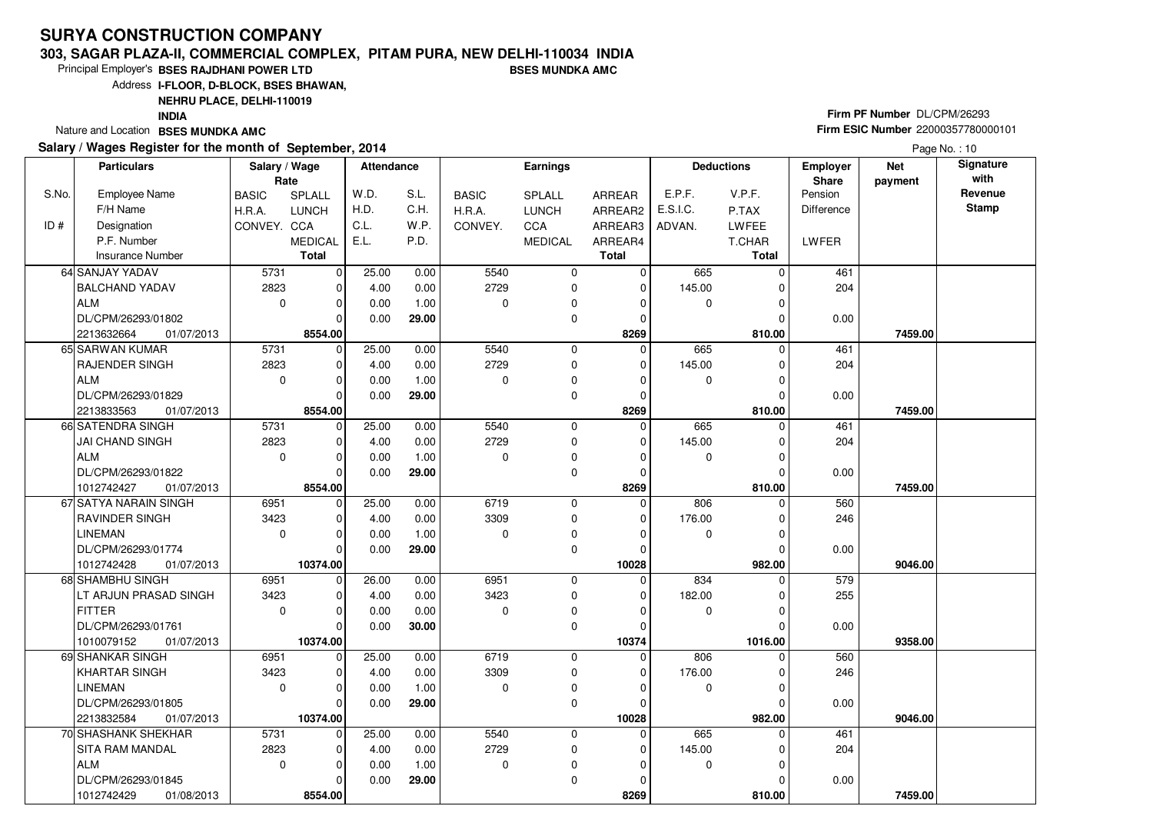#### **303, SAGAR PLAZA-II, COMMERCIAL COMPLEX, PITAM PURA, NEW DELHI-110034 INDIABSES MUNDKA AMC**

Principal Employer's**BSES RAJDHANI POWER LTD**

Address**I-FLOOR, D-BLOCK, BSES BHAWAN,**

**NEHRU PLACE, DELHI-110019**

**INDIA**

Nature and Location **BSES MUNDKA AMC** 

#### **Salary / Wages Register for the month of September, 2014**

# **Firm PF Number** DL/CPM/26293 **Firm ESIC Number** <sup>22000357780000101</sup>

Page No.: 10

|       | <b>Particulars</b>       | Salary / Wage<br>Rate |                | <b>Attendance</b> |       |              | Earnings       |                |             | <b>Deductions</b> | <b>Employer</b><br>Share | <b>Net</b><br>payment | Signature<br>with |
|-------|--------------------------|-----------------------|----------------|-------------------|-------|--------------|----------------|----------------|-------------|-------------------|--------------------------|-----------------------|-------------------|
| S.No. | <b>Employee Name</b>     | <b>BASIC</b>          | SPLALL         | W.D.              | S.L.  | <b>BASIC</b> | SPLALL         | ARREAR         | E.P.F.      | V.P.F.            | Pension                  |                       | Revenue           |
|       | F/H Name                 | H.R.A.                | <b>LUNCH</b>   | H.D.              | C.H.  | H.R.A.       | <b>LUNCH</b>   | ARREAR2        | E.S.I.C.    | P.TAX             | Difference               |                       | <b>Stamp</b>      |
| ID#   | Designation              | CONVEY. CCA           |                | C.L.              | W.P.  | CONVEY.      | CCA            | ARREAR3        | ADVAN.      | LWFEE             |                          |                       |                   |
|       | P.F. Number              |                       | <b>MEDICAL</b> | E.L.              | P.D.  |              | <b>MEDICAL</b> | ARREAR4        |             | T.CHAR            | LWFER                    |                       |                   |
|       | <b>Insurance Number</b>  |                       | <b>Total</b>   |                   |       |              |                | <b>Total</b>   |             | <b>Total</b>      |                          |                       |                   |
|       | 64 SANJAY YADAV          | 5731                  | 0              | 25.00             | 0.00  | 5540         | $\mathbf 0$    | $\Omega$       | 665         | $\Omega$          | 461                      |                       |                   |
|       | <b>BALCHAND YADAV</b>    | 2823                  | $\mathbf 0$    | 4.00              | 0.00  | 2729         | 0              | 0              | 145.00      |                   | 204                      |                       |                   |
|       | <b>ALM</b>               | $\mathbf{0}$          | $\mathbf 0$    | 0.00              | 1.00  | $\Omega$     | 0              | $\Omega$       | $\mathbf 0$ |                   |                          |                       |                   |
|       | DL/CPM/26293/01802       |                       | $\Omega$       | 0.00              | 29.00 |              | 0              | $\Omega$       |             |                   | 0.00                     |                       |                   |
|       | 01/07/2013<br>2213632664 |                       | 8554.00        |                   |       |              |                | 8269           |             | 810.00            |                          | 7459.00               |                   |
|       | 65 SARWAN KUMAR          | 5731                  | $\mathbf 0$    | 25.00             | 0.00  | 5540         | 0              | $\Omega$       | 665         |                   | 461                      |                       |                   |
|       | RAJENDER SINGH           | 2823                  | $\mathbf 0$    | 4.00              | 0.00  | 2729         | 0              | $\Omega$       | 145.00      |                   | 204                      |                       |                   |
|       | <b>ALM</b>               | $\mathbf 0$           | $\mathbf 0$    | 0.00              | 1.00  | $\mathbf 0$  | 0              | $\Omega$       | $\mathbf 0$ | 0                 |                          |                       |                   |
|       | DL/CPM/26293/01829       |                       | $\Omega$       | 0.00              | 29.00 |              | 0              | $\Omega$       |             |                   | 0.00                     |                       |                   |
|       | 01/07/2013<br>2213833563 |                       | 8554.00        |                   |       |              |                | 8269           |             | 810.00            |                          | 7459.00               |                   |
|       | 66 SATENDRA SINGH        | 5731                  | $\mathbf 0$    | 25.00             | 0.00  | 5540         | $\mathbf 0$    | $\Omega$       | 665         |                   | 461                      |                       |                   |
|       | <b>JAI CHAND SINGH</b>   | 2823                  | 0              | 4.00              | 0.00  | 2729         | 0              | 0              | 145.00      |                   | 204                      |                       |                   |
|       | <b>ALM</b>               | $\mathbf 0$           | 0              | 0.00              | 1.00  | $\mathbf 0$  | 0              | 0              | $\mathbf 0$ |                   |                          |                       |                   |
|       | DL/CPM/26293/01822       |                       | $\Omega$       | 0.00              | 29.00 |              | 0              | $\Omega$       |             |                   | 0.00                     |                       |                   |
|       | 1012742427<br>01/07/2013 |                       | 8554.00        |                   |       |              |                | 8269           |             | 810.00            |                          | 7459.00               |                   |
|       | 67 SATYA NARAIN SINGH    | 6951                  | $\mathbf 0$    | 25.00             | 0.00  | 6719         | $\mathbf 0$    | $\overline{0}$ | 806         | $\Omega$          | 560                      |                       |                   |
|       | RAVINDER SINGH           | 3423                  | 0              | 4.00              | 0.00  | 3309         | 0              | $\Omega$       | 176.00      |                   | 246                      |                       |                   |
|       | <b>LINEMAN</b>           | $\mathbf 0$           | $\mathbf 0$    | 0.00              | 1.00  | $\Omega$     | $\mathbf 0$    | $\Omega$       | $\mathbf 0$ | $\Omega$          |                          |                       |                   |
|       | DL/CPM/26293/01774       |                       | $\Omega$       | 0.00              | 29.00 |              | 0              | $\Omega$       |             |                   | 0.00                     |                       |                   |
|       | 1012742428<br>01/07/2013 |                       | 10374.00       |                   |       |              |                | 10028          |             | 982.00            |                          | 9046.00               |                   |
|       | 68 SHAMBHU SINGH         | 6951                  | $\mathbf 0$    | 26.00             | 0.00  | 6951         | 0              | $\Omega$       | 834         | 0                 | 579                      |                       |                   |
|       | LT ARJUN PRASAD SINGH    | 3423                  | $\mathbf 0$    | 4.00              | 0.00  | 3423         | 0              | 0              | 182.00      | $\Omega$          | 255                      |                       |                   |
|       | <b>FITTER</b>            | $\mathbf 0$           | 0              | 0.00              | 0.00  | 0            | 0              | $\Omega$       | $\mathbf 0$ |                   |                          |                       |                   |
|       | DL/CPM/26293/01761       |                       | $\Omega$       | 0.00              | 30.00 |              | 0              | $\Omega$       |             |                   | 0.00                     |                       |                   |
|       | 01/07/2013<br>1010079152 |                       | 10374.00       |                   |       |              |                | 10374          |             | 1016.00           |                          | 9358.00               |                   |
|       | 69 SHANKAR SINGH         | 6951                  | $\mathbf 0$    | 25.00             | 0.00  | 6719         | $\mathbf 0$    | $\Omega$       | 806         | $\Omega$          | 560                      |                       |                   |
|       | <b>KHARTAR SINGH</b>     | 3423                  | 0              | 4.00              | 0.00  | 3309         | 0              | 0              | 176.00      |                   | 246                      |                       |                   |
|       | <b>LINEMAN</b>           | $\mathbf 0$           | 0              | 0.00              | 1.00  | $\Omega$     | 0              | $\Omega$       | 0           | $\Omega$          |                          |                       |                   |
|       | DL/CPM/26293/01805       |                       | $\Omega$       | 0.00              | 29.00 |              | 0              | 0              |             |                   | 0.00                     |                       |                   |
|       | 2213832584<br>01/07/2013 |                       | 10374.00       |                   |       |              |                | 10028          |             | 982.00            |                          | 9046.00               |                   |
|       | 70 SHASHANK SHEKHAR      | 5731                  | $\mathbf 0$    | 25.00             | 0.00  | 5540         | 0              | $\mathbf 0$    | 665         | $\Omega$          | 461                      |                       |                   |
|       | SITA RAM MANDAL          | 2823                  | $\mathbf 0$    | 4.00              | 0.00  | 2729         | 0              | 0              | 145.00      |                   | 204                      |                       |                   |
|       | <b>ALM</b>               | $\mathbf 0$           | 0              | 0.00              | 1.00  | $\Omega$     | $\pmb{0}$      | 0              | $\mathbf 0$ |                   |                          |                       |                   |
|       | DL/CPM/26293/01845       |                       | $\Omega$       | 0.00              | 29.00 |              | 0              | $\Omega$       |             |                   | 0.00                     |                       |                   |
|       | 1012742429<br>01/08/2013 |                       | 8554.00        |                   |       |              |                | 8269           |             | 810.00            |                          | 7459.00               |                   |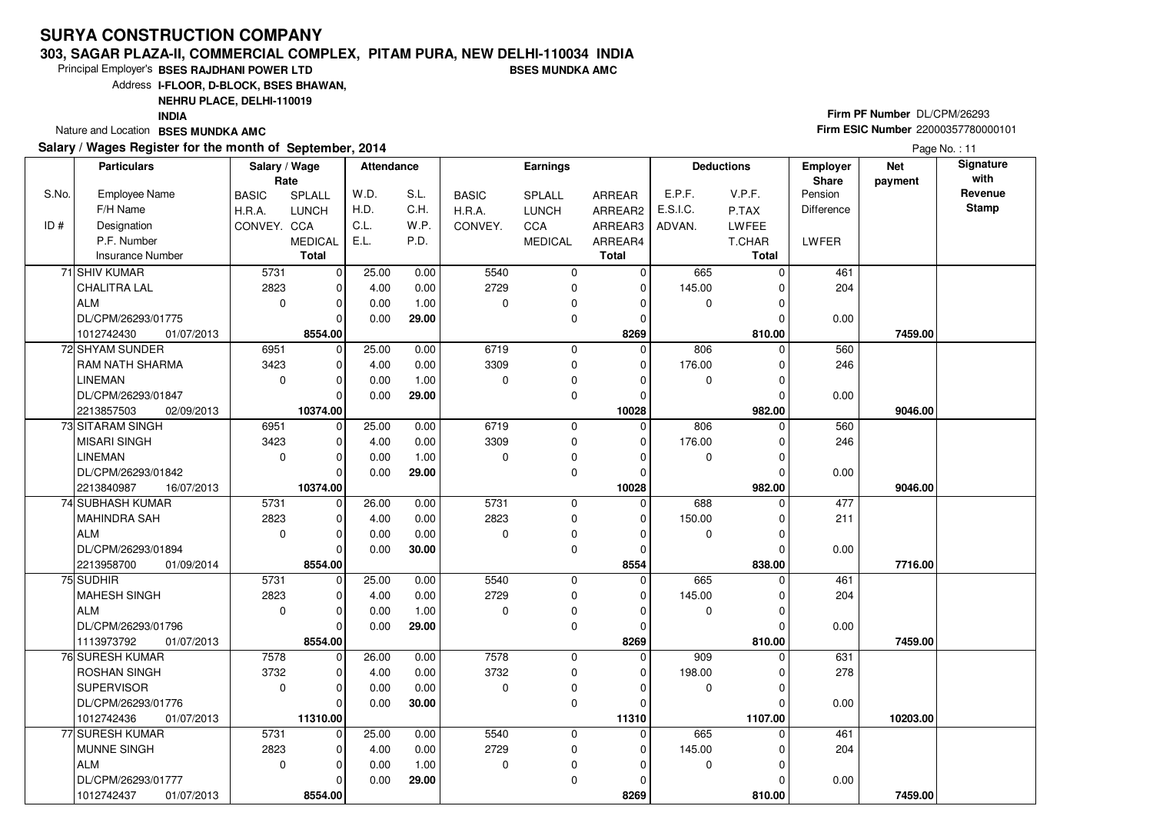#### **303, SAGAR PLAZA-II, COMMERCIAL COMPLEX, PITAM PURA, NEW DELHI-110034 INDIABSES MUNDKA AMC**

Principal Employer's**BSES RAJDHANI POWER LTD**

Address**I-FLOOR, D-BLOCK, BSES BHAWAN,**

### **NEHRU PLACE, DELHI-110019**

**INDIA**

Nature and Location **BSES MUNDKA AMC** 

#### **Salary / Wages Register for the month of September, 2014**

# **Firm PF Number** DL/CPM/26293 **Firm ESIC Number** <sup>22000357780000101</sup>

|       | <b>Particulars</b>       | Salary / Wage<br>Rate |                | <b>Attendance</b> |       |              | Earnings       |               |             | <b>Deductions</b> | <b>Employer</b><br>Share | <b>Net</b><br>payment | Signature<br>with |
|-------|--------------------------|-----------------------|----------------|-------------------|-------|--------------|----------------|---------------|-------------|-------------------|--------------------------|-----------------------|-------------------|
| S.No. | <b>Employee Name</b>     | <b>BASIC</b>          | SPLALL         | W.D.              | S.L.  | <b>BASIC</b> | SPLALL         | <b>ARREAR</b> | E.P.F.      | V.P.F.            | Pension                  |                       | Revenue           |
|       | F/H Name                 | H.R.A.                | <b>LUNCH</b>   | H.D.              | C.H.  | H.R.A.       | <b>LUNCH</b>   | ARREAR2       | E.S.I.C.    | P.TAX             | <b>Difference</b>        |                       | <b>Stamp</b>      |
| ID#   | Designation              | CONVEY. CCA           |                | C.L.              | W.P.  | CONVEY.      | CCA            | ARREAR3       | ADVAN.      | LWFEE             |                          |                       |                   |
|       | P.F. Number              |                       | <b>MEDICAL</b> | E.L.              | P.D.  |              | <b>MEDICAL</b> | ARREAR4       |             | T.CHAR            | <b>LWFER</b>             |                       |                   |
|       | Insurance Number         |                       | <b>Total</b>   |                   |       |              |                | <b>Total</b>  |             | <b>Total</b>      |                          |                       |                   |
|       | 71 SHIV KUMAR            | 5731                  | $\mathbf 0$    | 25.00             | 0.00  | 5540         | 0              | 0             | 665         | $\Omega$          | 461                      |                       |                   |
|       | CHALITRA LAL             | 2823                  | 0              | 4.00              | 0.00  | 2729         | 0              | 0             | 145.00      |                   | 204                      |                       |                   |
|       | ALM                      | $\mathbf 0$           | $\mathbf 0$    | 0.00              | 1.00  | $\Omega$     | 0              | 0             | 0           |                   |                          |                       |                   |
|       | DL/CPM/26293/01775       |                       | $\Omega$       | 0.00              | 29.00 |              | 0              | $\Omega$      |             |                   | 0.00                     |                       |                   |
|       | 01/07/2013<br>1012742430 |                       | 8554.00        |                   |       |              |                | 8269          |             | 810.00            |                          | 7459.00               |                   |
|       | 72 SHYAM SUNDER          | 6951                  | $\mathbf 0$    | 25.00             | 0.00  | 6719         | 0              | $\Omega$      | 806         | $\Omega$          | 560                      |                       |                   |
|       | <b>RAM NATH SHARMA</b>   | 3423                  | $\mathbf 0$    | 4.00              | 0.00  | 3309         | 0              | $\Omega$      | 176.00      |                   | 246                      |                       |                   |
|       | <b>LINEMAN</b>           | $\mathbf 0$           | $\Omega$       | 0.00              | 1.00  | $\mathbf 0$  | $\Omega$       | 0             | $\Omega$    |                   |                          |                       |                   |
|       | DL/CPM/26293/01847       |                       | $\Omega$       | 0.00              | 29.00 |              | 0              | 0             |             |                   | 0.00                     |                       |                   |
|       | 2213857503<br>02/09/2013 |                       | 10374.00       |                   |       |              |                | 10028         |             | 982.00            |                          | 9046.00               |                   |
|       | 73 SITARAM SINGH         | 6951                  | $\Omega$       | 25.00             | 0.00  | 6719         | 0              | 0             | 806         |                   | 560                      |                       |                   |
|       | <b>MISARI SINGH</b>      | 3423                  | 0              | 4.00              | 0.00  | 3309         | 0              | 0             | 176.00      | 0                 | 246                      |                       |                   |
|       | <b>LINEMAN</b>           | $\mathbf 0$           | $\mathbf 0$    | 0.00              | 1.00  | $\mathbf 0$  | 0              | $\Omega$      | 0           |                   |                          |                       |                   |
|       | DL/CPM/26293/01842       |                       | $\Omega$       | 0.00              | 29.00 |              | 0              | $\Omega$      |             |                   | 0.00                     |                       |                   |
|       | 16/07/2013<br>2213840987 |                       | 10374.00       |                   |       |              |                | 10028         |             | 982.00            |                          | 9046.00               |                   |
|       | 74 SUBHASH KUMAR         | 5731                  | $\mathbf 0$    | 26.00             | 0.00  | 5731         | 0              | $\Omega$      | 688         | $\Omega$          | 477                      |                       |                   |
|       | MAHINDRA SAH             | 2823                  | $\mathbf 0$    | 4.00              | 0.00  | 2823         | 0              | 0             | 150.00      |                   | 211                      |                       |                   |
|       | ALM                      | $\mathbf 0$           | $\Omega$       | 0.00              | 0.00  | $\Omega$     | $\mathbf 0$    | $\Omega$      | 0           |                   |                          |                       |                   |
|       | DL/CPM/26293/01894       |                       | $\Omega$       | 0.00              | 30.00 |              | 0              | $\Omega$      |             |                   | 0.00                     |                       |                   |
|       | 2213958700<br>01/09/2014 |                       | 8554.00        |                   |       |              |                | 8554          |             | 838.00            |                          | 7716.00               |                   |
|       | 75 SUDHIR                | 5731                  | $\mathbf 0$    | 25.00             | 0.00  | 5540         | 0              | $\mathbf 0$   | 665         | 0                 | 461                      |                       |                   |
|       | MAHESH SINGH             | 2823                  | $\mathbf 0$    | 4.00              | 0.00  | 2729         | 0              | 0             | 145.00      | 0                 | 204                      |                       |                   |
|       | ALM                      | $\mathbf{0}$          | $\Omega$       | 0.00              | 1.00  | $\Omega$     | 0              | 0             | 0           |                   |                          |                       |                   |
|       | DL/CPM/26293/01796       |                       | $\Omega$       | 0.00              | 29.00 |              | 0              | 0             |             |                   | 0.00                     |                       |                   |
|       | 1113973792<br>01/07/2013 |                       | 8554.00        |                   |       |              |                | 8269          |             | 810.00            |                          | 7459.00               |                   |
|       | 76 SURESH KUMAR          | 7578                  | $\mathbf 0$    | 26.00             | 0.00  | 7578         | 0              | $\Omega$      | 909         | $\Omega$          | 631                      |                       |                   |
|       | <b>ROSHAN SINGH</b>      | 3732                  | $\mathbf 0$    | 4.00              | 0.00  | 3732         | 0              | 0             | 198.00      |                   | 278                      |                       |                   |
|       | SUPERVISOR               | $\mathbf 0$           | $\Omega$       | 0.00              | 0.00  | $\Omega$     | 0              | $\Omega$      | $\mathbf 0$ |                   |                          |                       |                   |
|       | DL/CPM/26293/01776       |                       | $\Omega$       | 0.00              | 30.00 |              | 0              | 0             |             |                   | 0.00                     |                       |                   |
|       | 1012742436<br>01/07/2013 |                       | 11310.00       |                   |       |              |                | 11310         |             | 1107.00           |                          | 10203.00              |                   |
|       | 77 SURESH KUMAR          | 5731                  | $\mathbf 0$    | 25.00             | 0.00  | 5540         | 0              | $\mathbf 0$   | 665         | 0                 | 461                      |                       |                   |
|       | MUNNE SINGH              | 2823                  | 0              | 4.00              | 0.00  | 2729         | 0              | 0             | 145.00      |                   | 204                      |                       |                   |
|       | ALM                      | $\Omega$              | $\Omega$       | 0.00              | 1.00  | $\mathbf 0$  | $\pmb{0}$      | $\Omega$      | $\mathbf 0$ |                   |                          |                       |                   |
|       | DL/CPM/26293/01777       |                       | $\Omega$       | 0.00              | 29.00 |              | 0              | 0             |             |                   | 0.00                     |                       |                   |
|       | 1012742437<br>01/07/2013 |                       | 8554.00        |                   |       |              |                | 8269          |             | 810.00            |                          | 7459.00               |                   |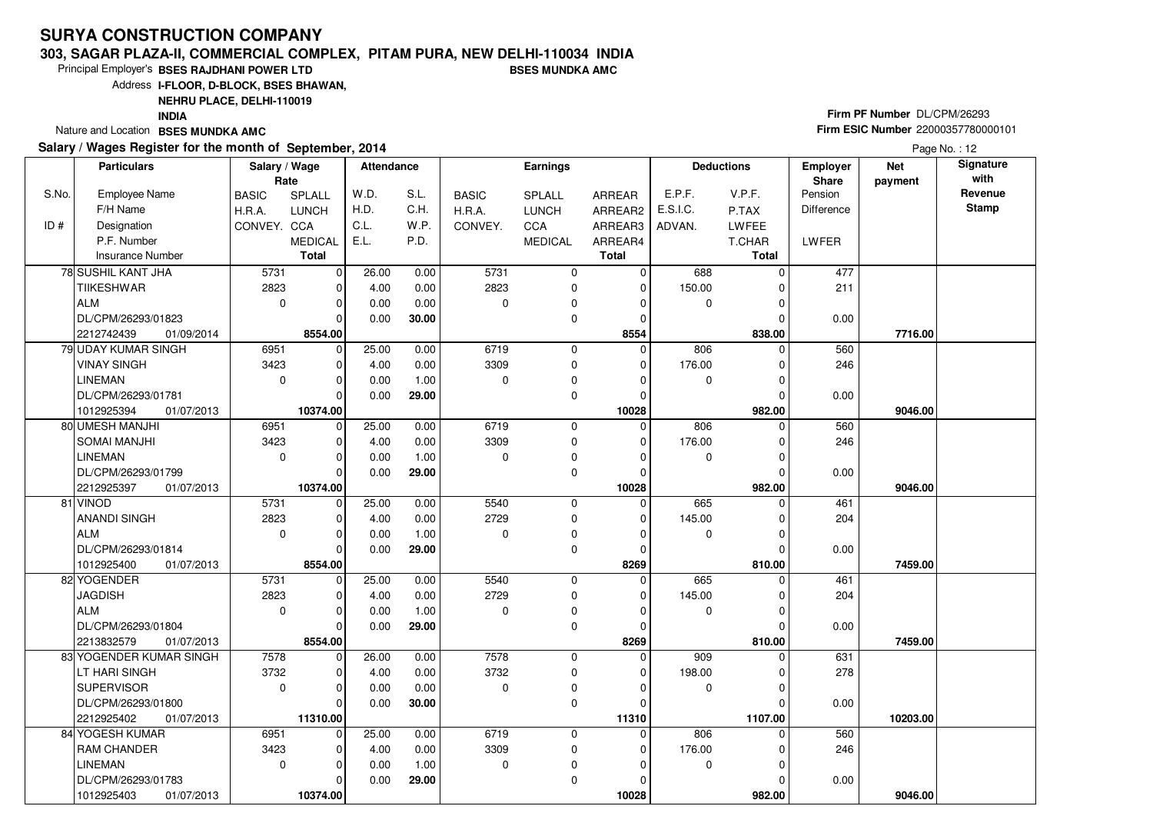#### **303, SAGAR PLAZA-II, COMMERCIAL COMPLEX, PITAM PURA, NEW DELHI-110034 INDIABSES MUNDKA AMC**

10374.00

**10374.00** 01/07/2013

1012925403

Principal Employer's**BSES RAJDHANI POWER LTD**

Address**I-FLOOR, D-BLOCK, BSES BHAWAN,**

**NEHRU PLACE, DELHI-110019**

**INDIA**

Nature and Location **BSES MUNDKA AMC** 

#### **Salary / Wages Register for the month of September, 2014**

# **Firm PF Number** DL/CPM/26293 **Firm ESIC Number** <sup>22000357780000101</sup>

 **982.00 9046.00**

Page No.: 12

|       | <b>Particulars</b>       | Salary / Wage<br>Rate |                | Attendance |       |              | Earnings       |                |          | <b>Deductions</b> | <b>Employer</b><br>Share | <b>Net</b><br>payment | Signature<br>with |
|-------|--------------------------|-----------------------|----------------|------------|-------|--------------|----------------|----------------|----------|-------------------|--------------------------|-----------------------|-------------------|
| S.No. | <b>Employee Name</b>     | <b>BASIC</b>          | SPLALL         | W.D.       | S.L.  | <b>BASIC</b> | SPLALL         | ARREAR         | E.P.F.   | V.P.F.            | Pension                  |                       | Revenue           |
|       | F/H Name                 | H.R.A.                | <b>LUNCH</b>   | H.D.       | C.H.  | H.R.A.       | <b>LUNCH</b>   | ARREAR2        | E.S.I.C. | P.TAX             | Difference               |                       | <b>Stamp</b>      |
| ID#   | Designation              | CONVEY. CCA           |                | C.L.       | W.P.  | CONVEY.      | <b>CCA</b>     | ARREAR3        | ADVAN.   | LWFEE             |                          |                       |                   |
|       | P.F. Number              |                       | <b>MEDICAL</b> | E.L.       | P.D.  |              | <b>MEDICAL</b> | ARREAR4        |          | T.CHAR            | <b>LWFER</b>             |                       |                   |
|       | Insurance Number         |                       | <b>Total</b>   |            |       |              |                | <b>Total</b>   |          | <b>Total</b>      |                          |                       |                   |
|       |                          |                       |                |            |       | 5731         |                |                | 688      |                   |                          |                       |                   |
|       | 78 SUSHIL KANT JHA       | 5731                  | $\mathbf 0$    | 26.00      | 0.00  |              | 0              | $\mathbf 0$    |          |                   | 477                      |                       |                   |
|       | <b>TIIKESHWAR</b>        | 2823                  | $\mathbf 0$    | 4.00       | 0.00  | 2823         | 0              | $\overline{0}$ | 150.00   |                   | 211                      |                       |                   |
|       | ALM                      | $\mathbf 0$           | $\Omega$       | 0.00       | 0.00  | $\Omega$     | 0              | $\Omega$       | 0        |                   |                          |                       |                   |
|       | DL/CPM/26293/01823       |                       | $\mathbf 0$    | 0.00       | 30.00 |              | 0              | $\Omega$       |          |                   | 0.00                     |                       |                   |
|       | 2212742439<br>01/09/2014 |                       | 8554.00        |            |       |              |                | 8554           |          | 838.00            |                          | 7716.00               |                   |
|       | 79 UDAY KUMAR SINGH      | 6951                  | $\mathbf 0$    | 25.00      | 0.00  | 6719         | 0              | 0              | 806      |                   | 560                      |                       |                   |
|       | <b>VINAY SINGH</b>       | 3423                  | 0              | 4.00       | 0.00  | 3309         | 0              | $\Omega$       | 176.00   |                   | 246                      |                       |                   |
|       | <b>LINEMAN</b>           | $\mathbf 0$           | $\Omega$       | 0.00       | 1.00  | $\Omega$     | 0              | $\Omega$       | 0        | $\Omega$          |                          |                       |                   |
|       | DL/CPM/26293/01781       |                       | $\Omega$       | 0.00       | 29.00 |              | 0              | 0              |          |                   | 0.00                     |                       |                   |
|       | 1012925394<br>01/07/2013 |                       | 10374.00       |            |       |              |                | 10028          |          | 982.00            |                          | 9046.00               |                   |
|       | 80 UMESH MANJHI          | 6951                  | $\mathbf 0$    | 25.00      | 0.00  | 6719         | 0              | $\Omega$       | 806      | $\Omega$          | 560                      |                       |                   |
|       | <b>SOMAI MANJHI</b>      | 3423                  | $\mathbf 0$    | 4.00       | 0.00  | 3309         | 0              | 0              | 176.00   |                   | 246                      |                       |                   |
|       | <b>LINEMAN</b>           | $\mathbf 0$           | $\Omega$       | 0.00       | 1.00  | $\Omega$     | 0              | 0              | 0        |                   |                          |                       |                   |
|       | DL/CPM/26293/01799       |                       | $\Omega$       | 0.00       | 29.00 |              | 0              | 0              |          |                   | 0.00                     |                       |                   |
|       | 2212925397<br>01/07/2013 |                       | 10374.00       |            |       |              |                | 10028          |          | 982.00            |                          | 9046.00               |                   |
|       | 81 VINOD                 | 5731                  | $\mathbf 0$    | 25.00      | 0.00  | 5540         | 0              | $\Omega$       | 665      | $\Omega$          | 461                      |                       |                   |
|       | ANANDI SINGH             | 2823                  | $\mathbf 0$    | 4.00       | 0.00  | 2729         | 0              | 0              | 145.00   | 0                 | 204                      |                       |                   |
|       | ALM                      | $\mathbf 0$           | $\mathbf 0$    | 0.00       | 1.00  | 0            | 0              | 0              | 0        |                   |                          |                       |                   |
|       | DL/CPM/26293/01814       |                       | $\Omega$       | 0.00       | 29.00 |              | 0              | $\Omega$       |          |                   | 0.00                     |                       |                   |
|       | 1012925400<br>01/07/2013 |                       | 8554.00        |            |       |              |                | 8269           |          | 810.00            |                          | 7459.00               |                   |
|       | 82 YOGENDER              | 5731                  | $\mathbf 0$    | 25.00      | 0.00  | 5540         | 0              | $\Omega$       | 665      | O                 | 461                      |                       |                   |
|       | <b>JAGDISH</b>           | 2823                  | 0              | 4.00       | 0.00  | 2729         | 0              | 0              | 145.00   |                   | 204                      |                       |                   |
|       | ALM                      | $\mathbf 0$           | $\Omega$       | 0.00       | 1.00  | $\Omega$     | $\mathbf 0$    | 0              | $\Omega$ |                   |                          |                       |                   |
|       | DL/CPM/26293/01804       |                       | $\Omega$       | 0.00       | 29.00 |              | 0              | 0              |          |                   | 0.00                     |                       |                   |
|       | 2213832579<br>01/07/2013 |                       | 8554.00        |            |       |              |                | 8269           |          | 810.00            |                          | 7459.00               |                   |
|       | 83 YOGENDER KUMAR SINGH  | 7578                  | $\mathbf 0$    | 26.00      | 0.00  | 7578         | 0              | $\Omega$       | 909      |                   | 631                      |                       |                   |
|       | LT HARI SINGH            | 3732                  | $\mathbf 0$    | 4.00       | 0.00  | 3732         | 0              | 0              | 198.00   |                   | 278                      |                       |                   |
|       | <b>SUPERVISOR</b>        | $\mathbf 0$           | $\mathbf 0$    | 0.00       | 0.00  | $\mathbf 0$  | 0              | 0              | 0        |                   |                          |                       |                   |
|       | DL/CPM/26293/01800       |                       | $\Omega$       | 0.00       | 30.00 |              | 0              | 0              |          |                   | 0.00                     |                       |                   |
|       | 2212925402<br>01/07/2013 |                       | 11310.00       |            |       |              |                | 11310          |          | 1107.00           |                          | 10203.00              |                   |
|       | 84 YOGESH KUMAR          | 6951                  | $\mathbf 0$    | 25.00      | 0.00  | 6719         | 0              | 0              | 806      | $\Omega$          | 560                      |                       |                   |
|       | RAM CHANDER              | 3423                  | $\mathbf 0$    | 4.00       | 0.00  | 3309         | 0              | $\Omega$       | 176.00   |                   | 246                      |                       |                   |
|       | LINEMAN                  | $\mathbf 0$           | 0              | 0.00       | 1.00  | 0            | $\Omega$       | 0              | $\Omega$ | 0                 |                          |                       |                   |
|       | DL/CPM/26293/01783       |                       | $\mathbf 0$    | 0.00       | 29.00 |              | 0              | 0              |          | $\mathbf 0$       | 0.00                     |                       |                   |

 **10028**

982.00